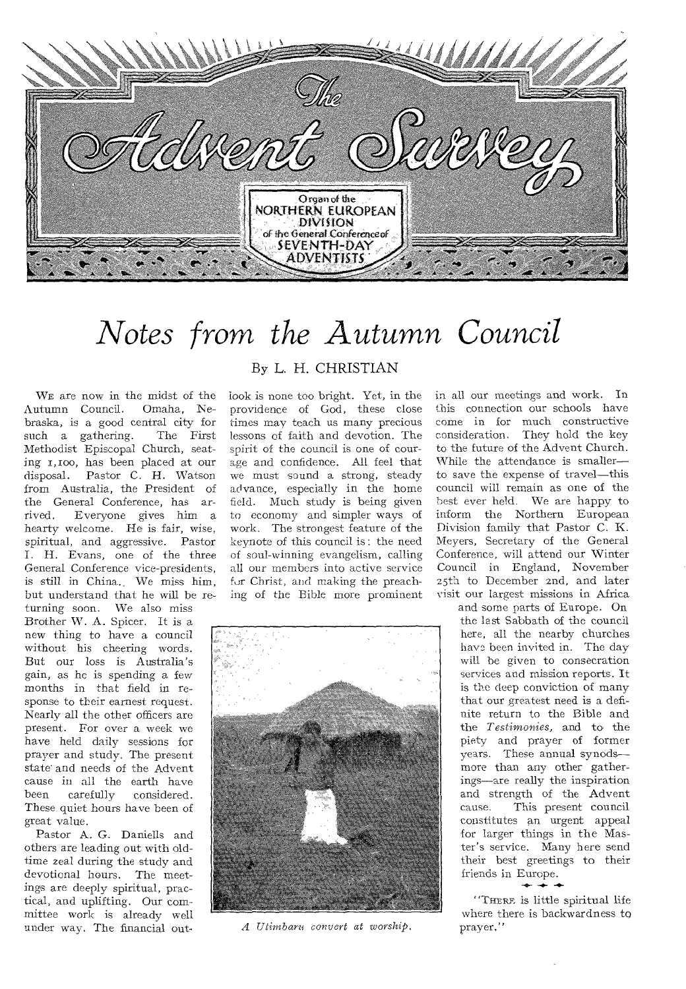

# *Notes he Autumn Council*

WE are now in the midst of the utumn Council. Omaha, Ne-Autumn Council. braska, is a good central city for<br>such a gathering. The First such a gathering. Methodist Episcopal Church, seating 1,100, has been placed at our disposal. Pastor C. H. Watson Pastor C. H. Watson from Australia, the President of the General Conference, has ar-<br>rived. Everyone gives him a Everyone gives him a hearty welcome. He is fair, wise, spiritual, and aggressive. Pastor I. H. Evans, one of the three General Conference vice-presidents, is still in China.. We miss him, but understand that he will be re-

turning soon. We also miss Brother W. A. Spicer. It is a new thing to have a council without his cheering words. But our loss is Australia's gain, as he is spending a few months in that field in response to their earnest request. Nearly all the other officers are present. For over a week we have held daily sessions for prayer and study. The present state and needs of the Advent cause in all the earth have<br>been carefully considered. considered. These quiet hours have been of great value.

Pastor A. G. Daniells and others are leading out with oldtime zeal during the study and devotional hours. The meetings are deeply spiritual, practical, and uplifting. Our committee work is already well under way. The financial out-

### **By L. H. CHRISTIAN**

look is none too bright. Yet, in the providence of God, these close times may teach us many precious lessons of faith and devotion. The spirit of the council is one of courage and confidence. All feel that we must sound a strong, steady advance, especially in the home field. Much study is being given to economy and simpler ways of work. The strongest feature of the keynote of this council is : the need of soul-winning evangelism, calling all our members into active service fur Christ, and making the preaching of the Bible more prominent



*A Utimbaru convert at worship,* 

in all our meetings and work. In this connection our schools have come in for much constructive consideration. They hold the key to the future of the Advent Church. While the attendance is smaller to save the expense of travel—this council will remain as one of the best ever held. We are happy to inform the Northern European Division family that Pastor C. K. Meyers, Secretary of the General Conference, will attend our Winter Council in England, November 25th to December 2nd, and later visit our largest missions in Africa

and some parts of Europe. On the last Sabbath of the council here, all the nearby churches have been invited in. The day will be given to consecration services and mission reports. It is the deep conviction of many that our greatest need is a definite return to the Bible and the *Testimonies,* and to the piety and prayer of former years. These annual synods more than any other gatherings—are really the inspiration and strength of the Advent<br>cause. This present council This present council constitutes an urgent appeal for larger things in the Master's service. Many here send their best greetings to their friends in Europe.

**"THERE** is little spiritual life where there is backwardness to prayer."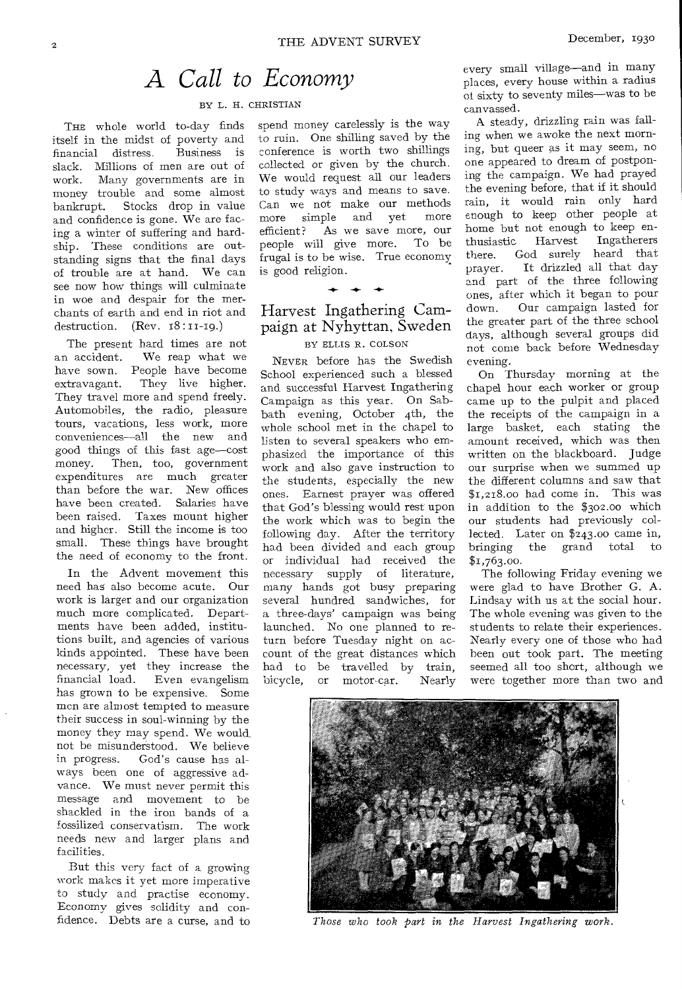# A *Call to Economy*

#### BY L. H. CHRISTIAN

THE whole world to-day finds itself in the midst of poverty and<br>financial distress. Business is financial distress. slack. Millions of men are out of work. Many governments are in money trouble and some almost bankrupt. Stocks drop in value and confidence is gone. We are facing a winter of suffering and hardship. These conditions are outstanding signs that the final days of trouble are at hand. We can see now how things will culminate in woe and despair for the merchants of earth and end in riot and destruction. (Rev. 18:11-19.)

The present hard times are not an accident. We reap what we have sown. People have become extravagant. They live higher. They travel more and spend freely. Automobiles, the radio, pleasure tours, vacations, less work, more conveniences—all the new and good things of this fast age—cost money. Then, too, government expenditures are much greater than before the war. New offices have been created. Salaries have been raised. Taxes mount higher and higher. Still the income is too small. These things have brought the need of economy to the front.

In the Advent movement this need has also become acute. Our work is larger and our organization much more complicated. Departments have been added, institutions built, and agencies of various kinds appointed. These have been necessary, yet they increase the financial load. Even evangelism has grown to be expensive. Some men are almost tempted to measure their success in soul-winning by the money they may spend. We would not be misunderstood. We believe in progress. God's cause has always been one of aggressive advance. We must never permit this message and movement to be shackled in the iron bands of a fossilized conservatism. The work needs new and larger plans and facilities.

But this very fact of a growing work makes it yet more imperative to study and practise economy. Economy gives solidity and confidence. Debts are a curse, and to

spend money carelessly is the way to ruin. One shilling saved by the conference is worth two shillings collected or given by the church. We would request all our leaders to study ways and means to save. Can we not make our methods<br>more simple and vet more more simple and yet efficient? As we save more, our people will give more. To be frugal is to be wise. True economy is good religion.

## Harvest Ingathering Campaign at Nyhyttan, Sweden

**-4- -4- -4-** 

### BY ELLIS R. COLSON

NEVER before has the Swedish School experienced such a blessed and successful Harvest Ingathering Campaign as this year. On Sabbath evening, October 4th, the whole school met in the chapel to listen to several speakers who emphasized the importance of this work and also gave instruction to the students, especially the new ones. Earnest prayer was offered that God's blessing would rest upon the work which was to begin the following day. After the territory had been divided and each group or individual had received the necessary supply of literature, many hands got busy preparing several hundred sandwiches, for a three-days' campaign was being launched. No one planned to return before Tuesday night on account of the great distances which had to be travelled by train,<br>bicycle, or motor-car. Nearly motor-car.

every small village—and in many places, every house within a radius of sixty to seventy miles—was to be canvassed.

A steady, drizzling rain was falling when we awoke the next morning, but queer as it may seem, no one appeared to dream of postponing the campaign. We had prayed the evening before, that if it should rain, it would rain only hard enough to keep other people at home but not enough to keep enthusiastic Harvest Ingatherers there. God surely heard that prayer. It drizzled all that day and part of the three following ones, after which it began to pour down. Our campaign lasted for the greater part of the three school days, although several groups did not come back before Wednesday evening.

On Thursday morning at the chapel hour each worker or group came up to the pulpit and placed the receipts of the campaign in a large basket, each stating the amount received, which was then written on the blackboard. Judge our surprise when we summed up the different columns and saw that \$1,218.00 had come in. This was in addition to the \$302.00 which our students had previously collected. Later on \$243.00 came in, bringing the grand total to \$1,763.00.

The following Friday evening we were glad to have Brother G. A. Lindsay with us at the social hour. The whole evening was given to the students to relate their experiences. Nearly every one of those who had been out took part. The meeting seemed all too short, although we were together more than two and



*Those who took part in the Harvest Ingathering work.*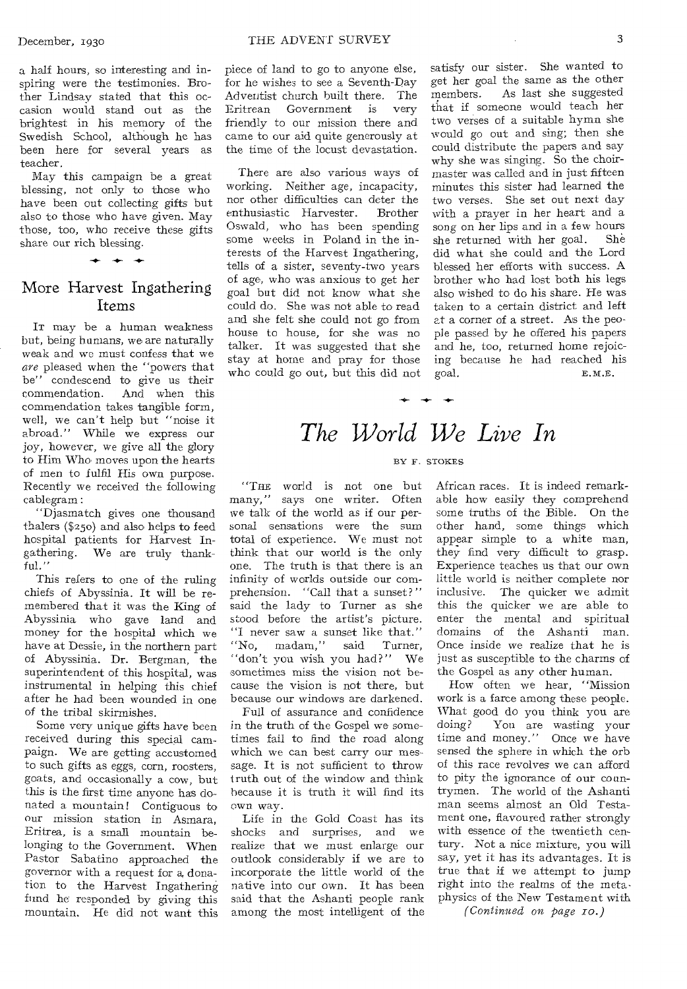a half hours, so interesting and inspiring were the testimonies. Brother Lindsay stated that this occasion would stand out as the brightest in his memory of the Swedish School, although he has been here for several years as teacher.

May this campaign be a great blessing, not only to those who have been out collecting gifts but also to those who have given. May those, too, who receive these gifts share our rich blessing.

### More Harvest Ingathering Items

IT may be a human weakness but, being humans, we are naturally weak and we must confess that we *are* pleased when the "powers that be" condescend to give us their commendation. And when this commendation takes tangible form, well, we can't help but "noise it abroad." While we express our joy, however, we give all the glory to Him Who moves upon the hearts of men to fulfil His own purpose. Recently we received the following cablegram :

"Djasmatch gives one thousand thalers (\$250) and also helps to feed hospital patients for Harvest Ingathering. We are truly thankful."

This refers to one of the ruling chiefs of Abyssinia. It will be remembered that it was the King of Abyssinia who gave land and money for the hospital which we have at Dessie, in the northern part of Abyssinia. Dr. Bergman, the superintendent of this hospital, was instrumental in helping this chief after he had been wounded in one of the tribal skirmishes.

Some very unique gifts have been received during this special campaign. We are getting accustomed to such gifts as eggs, corn, roosters, goats, and occasionally a cow, but this is the first time anyone has donated a mountain! Contiguous to our mission station in Asmara, Eritrea, is a small mountain belonging to the Government. When Pastor Sabatino approached the governor with a request for a, donation to the Harvest Ingathering fund he responded by giving this mountain. He did not want this

piece of land to go to anyone else, for he wishes to see a Seventh-Day Adventist church built there. The<br>Eritrean Government is very Eritrean Government is very friendly to our mission there and came to our aid quite generously at the time of the locust devastation.

There are also various ways of working. Neither age, incapacity, nor other difficulties can deter the enthusiastic Harvester. Brother Oswald, who has been spending some weeks in Poland in the interests of the Harvest Ingathering, tells of a sister, seventy-two years of age, who was anxious to get her goal but did not know what she could do. She was not able to read and she felt she could not go from house to house, for she was no talker. It was suggested that she stay at home and pray for those who could go out, but this did not

satisfy our sister. She wanted to get her goal the same as the other members. As last she suggested that if someone would teach her two verses of a suitable hymn she would go out and sing; then she could distribute the papers and say why she was singing. So the choirmaster was called and in just fifteen minutes this sister had learned the two verses. She set out next day with a prayer in her heart and a song on her lips and in a few hours<br>she returned with her goal. She she returned with her goal. did what she could and the Lord blessed her efforts with success. A brother who had lost both his legs also wished to do his share. He was taken to a certain district and left at a corner of a street. As the people passed by he offered his papers and he, too, returned home rejoicing because he had reached his goal. E. M.E.

# *The World We Live In*

#### BY F. STOKES

"THE world is not one but many," says one writer. Often we talk of the world as if our personal sensations were the sum total of experience. We must not think that our world is the only one. The truth is that there is an infinity of worlds outside our comprehension. "Call that a sunset?" said the lady to Turner as she stood before the artist's picture. "I never saw a sunset like that." "No, madam," said Turner, "don't you wish you had?" We sometimes miss the vision not because the vision is not there, but because our windows are darkened.

Full of assurance and confidence in the truth of the Gospel we sometimes fail to find the road along which we can best carry our message. It is not sufficient to throw truth out of the window and think because it is truth it will find its own way.

Life in the Gold Coast has its shocks and surprises, and we realize that we must enlarge our outlook considerably if we are to incorporate the little world of the native into our own. It has been said that the Ashanti people rank among the most intelligent of the

African races. It is indeed remarkable how easily they comprehend some truths of the Bible. On the other hand, some things which appear simple to a white man, they find very difficult to grasp. Experience teaches us that our own little world is neither complete nor inclusive. The quicker we admit this the quicker we are able to enter the mental and spiritual domains of the Ashanti man. Once inside we realize that he is just as susceptible to the charms of the Gospel as any other human.

How often we hear, "Mission work is a farce among these people. What good do you think you are doing? You are wasting your time and money." Once we have sensed the sphere in which the orb of this race revolves we can afford to pity the ignorance of our countrymen. The world of the Ashanti man seems almost an Old Testament one, flavoured rather strongly with essence of the twentieth century. Not a nice mixture, you will say, yet it has its advantages. It is true that if we attempt to jump right into the realms of the metaphysics of the New Testament with

*(Continued on page ro.)*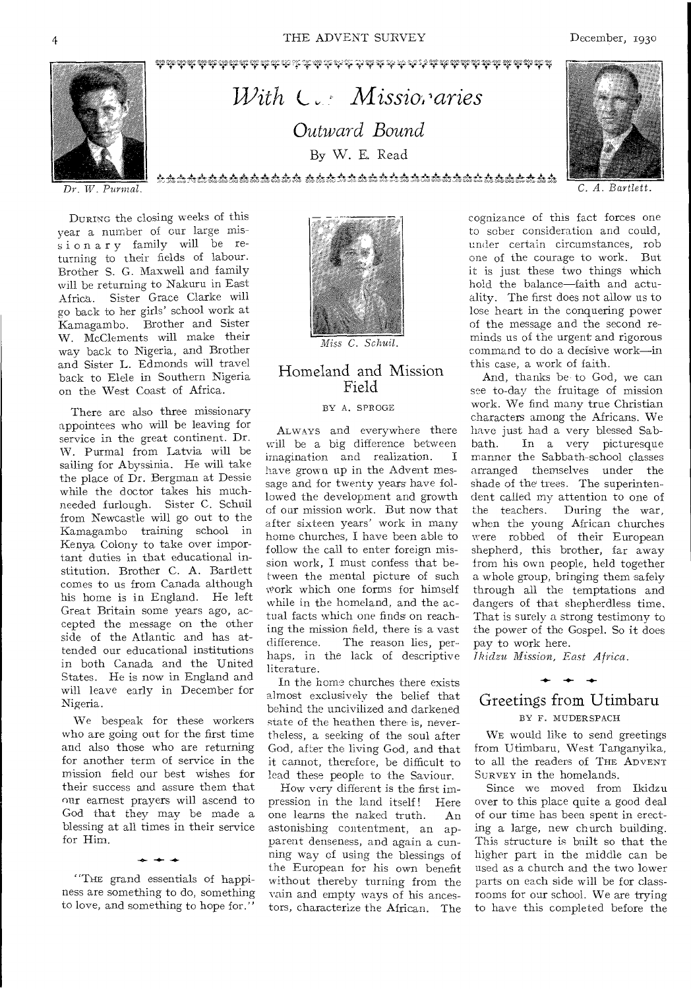

# With  $C_{\text{max}}$  Missior aries Outward Bound By W. E. Read .<br>ඒ දැන දැන දින දැන මෙම දැන දින දෙන දෙන දෙන දැන දැන දැන දෙන දෙන දෙන දෙන දෙන දැන දෙන දැන දෙන දෙන දෙන දෙන දෙන දෙන ද



C. A. Bartlett.

 $Dr.$  W. Purmal.

DURING the closing weeks of this year a number of our large missionary family will be returning to their fields of labour. Brother S. G. Maxwell and family will be returning to Nakuru in East Africa. Sister Grace Clarke will go back to her girls' school work at Kamagambo. Brother and Sister W. McClements will make their way back to Nigeria, and Brother and Sister L. Edmonds will travel back to Elele in Southern Nigeria on the West Coast of Africa.

There are also three missionary appointees who will be leaving for service in the great continent. Dr. W. Purmal from Latvia will be sailing for Abyssinia. He will take the place of Dr. Bergman at Dessie while the doctor takes his muchneeded furlough. Sister C. Schuil from Newcastle will go out to the Kamagambo training school in Kenya Colony to take over important duties in that educational institution. Brother C. A. Bartlett comes to us from Canada although his home is in England. He left Great Britain some years ago, accepted the message on the other side of the Atlantic and has attended our educational institutions in both Canada and the United States. He is now in England and will leave early in December for Nigeria.

We bespeak for these workers who are going out for the first time and also those who are returning for another term of service in the mission field our best wishes for their success and assure them that our earnest prayers will ascend to God that they may be made a blessing at all times in their service for Him.

"The grand essentials of happiness are something to do, something to love, and something to hope for."



Miss C. Schuil.

### Homeland and Mission Field

#### BY A. SPROGE

ALWAYS and everywhere there will be a big difference between imagination and realization. T have grown up in the Advent message and for twenty years have followed the development and growth of our mission work. But now that after sixteen years' work in many home churches, I have been able to follow the call to enter foreign mission work, I must confess that between the mental picture of such work which one forms for himself while in the homeland, and the actual facts which one finds on reaching the mission field, there is a vast The reason lies, perdifference. haps, in the lack of descriptive literature.

In the home churches there exists almost exclusively the belief that behind the uncivilized and darkened state of the heathen there is, nevertheless, a seeking of the soul after God, after the living God, and that it cannot, therefore, be difficult to lead these people to the Saviour.

How very different is the first impression in the land itself! Here one learns the naked truth.  $An$ astonishing contentment, an apparent denseness, and again a cunning way of using the blessings of the European for his own benefit without thereby turning from the vain and empty ways of his ancestors, characterize the African. The

cognizance of this fact forces one to sober consideration and could, under certain circumstances, rob one of the courage to work. But it is just these two things which hold the balance-faith and actuality. The first does not allow us to lose heart in the conquering power of the message and the second reminds us of the urgent and rigorous command to do a decisive work-in this case, a work of faith.

And, thanks be to God, we can see to-day the fruitage of mission work. We find many true Christian characters among the Africans. We have just had a very blessed Sab-In a very picturesque bath. manner the Sabbath-school classes arranged themselves under the shade of the trees. The superintendent called my attention to one of the teachers. During the war, when the young African churches were robbed of their European shepherd, this brother, far away from his own people, held together a whole group, bringing them safely through all the temptations and dangers of that shepherdless time, That is surely a strong testimony to the power of the Gospel. So it does pay to work here.

Ikidzu Mission, East Africa.

# Greetings from Utimbaru

### BY F. MUDERSPACH

WE would like to send greetings from Utimbaru, West Tanganyika, to all the readers of THE ADVENT SURVEY in the homelands.

Since we moved from Ikidzu over to this place quite a good deal of our time has been spent in erecting a large, new church building. This structure is built so that the higher part in the middle can be used as a church and the two lower parts on each side will be for classrooms for our school. We are trying to have this completed before the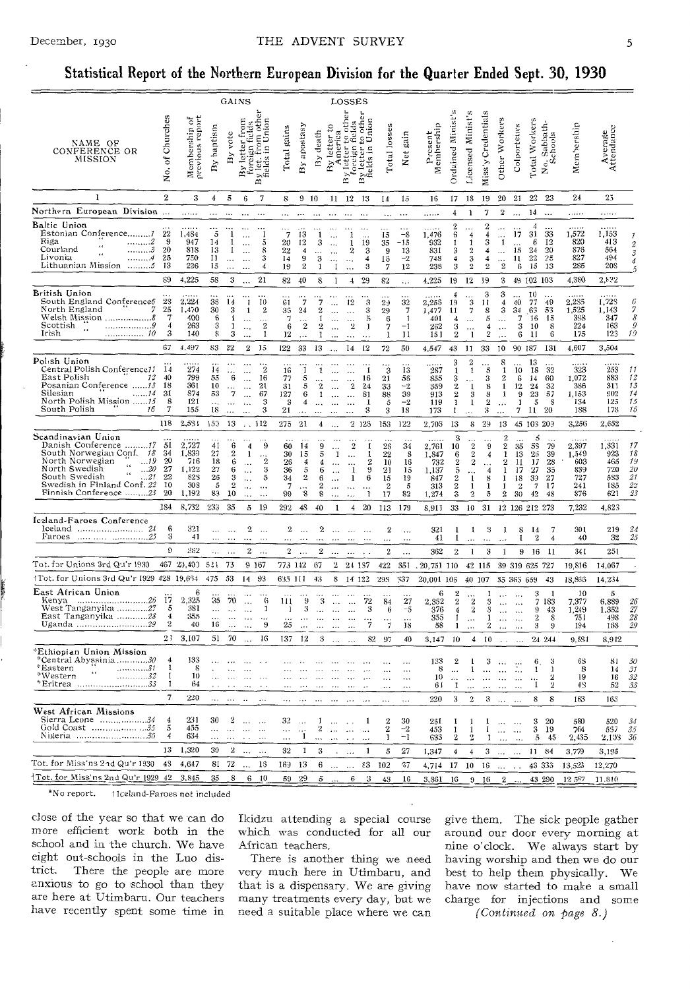### Statistical Report of the Northern European Division for the Quarter Ended Sept. 30, 1930

|                                                                                                                                                                                                                                                     |                                        |                                                       |                                              |                                                     | GAINS                                  |                                                                |                                       |                                                   |                                               |                                                                                                                                                                                                                                                                                                                                                                                                                                                                                              | LOSSES                                                             |                                                                                    |                                                      |                                          |                                                       |                                                                                 |                                                                                    |                                                 |                                                                                                                |                                                    |                                            |                                            |                                                   |                                                 |                                        |
|-----------------------------------------------------------------------------------------------------------------------------------------------------------------------------------------------------------------------------------------------------|----------------------------------------|-------------------------------------------------------|----------------------------------------------|-----------------------------------------------------|----------------------------------------|----------------------------------------------------------------|---------------------------------------|---------------------------------------------------|-----------------------------------------------|----------------------------------------------------------------------------------------------------------------------------------------------------------------------------------------------------------------------------------------------------------------------------------------------------------------------------------------------------------------------------------------------------------------------------------------------------------------------------------------------|--------------------------------------------------------------------|------------------------------------------------------------------------------------|------------------------------------------------------|------------------------------------------|-------------------------------------------------------|---------------------------------------------------------------------------------|------------------------------------------------------------------------------------|-------------------------------------------------|----------------------------------------------------------------------------------------------------------------|----------------------------------------------------|--------------------------------------------|--------------------------------------------|---------------------------------------------------|-------------------------------------------------|----------------------------------------|
| NAME OF<br>CONFERENCE OR<br>MISSION                                                                                                                                                                                                                 | of Churches<br>ğ.                      | Membership of<br>previous report                      | baptism<br>$\mathbf{B} \mathbf{y}$           | vote<br>$\mathbf{B}$                                | from<br>By letter                      | othe<br>foreign fields<br>By let. from othe<br>fields in Union | Total gains                           | By apostasy                                       | By death                                      | merica<br>By letter 1<br>America                                                                                                                                                                                                                                                                                                                                                                                                                                                             | 평<br>$\epsilon$<br>y letter 1<br>foreign<br>$\mathbf{B}$           | othe<br>Inion<br>fedd<br>to of<br>Unit<br>letter<br>£,<br>s.<br>άé<br>$\mathbf{B}$ | Total losses                                         | Net gain                                 | Membership<br>Present                                 | Ordained Minist's                                                               | Licensed Minist's                                                                  | Miss'y Credentials                              | Other Workers                                                                                                  | Colporteurs                                        | Total Workers                              | biath.<br>No. Sac.<br>Schools              | Membership                                        | Average<br>Attendance                           |                                        |
| 1                                                                                                                                                                                                                                                   | $\overline{2}$                         | 3                                                     | 4                                            | 5                                                   | 6                                      | 7                                                              | 8                                     | 910                                               |                                               | 11                                                                                                                                                                                                                                                                                                                                                                                                                                                                                           | 12                                                                 | 13                                                                                 | 14                                                   | 15                                       | 16                                                    | 17                                                                              | 18                                                                                 | 19                                              | 20                                                                                                             | 21                                                 | $22\,$                                     | 23                                         | 24                                                | 25                                              |                                        |
| Northern European Division                                                                                                                                                                                                                          |                                        |                                                       |                                              |                                                     | $\ddotsc$                              | $\ddotsc$                                                      | $\cdots$                              | $\ddotsc$                                         |                                               | $\cdots$                                                                                                                                                                                                                                                                                                                                                                                                                                                                                     | $\cdots$                                                           |                                                                                    | $\ddotsc$                                            | $\ddotsc$                                | .                                                     | 4                                                                               | 1                                                                                  | 7                                               | 2                                                                                                              |                                                    | 14                                         |                                            | .                                                 | .                                               |                                        |
| Baltic Union<br>Estonian Conference<br>Riga<br>. 2<br>$\epsilon$<br>Courland<br>. 3<br>$\ddotsc$<br>Livonia<br>. 4<br>Lithuanian Mission<br>. 5                                                                                                     | 22<br>9<br>20<br>25<br>13              | 1,484<br>947<br>818<br>750<br>226                     | 5<br>14<br>13<br>11<br>15                    | -1<br>-1<br>$\ddotsc$                               | $\ddotsc$<br>$\ddotsc$<br>$\ddotsc$    | 5<br>8<br>3                                                    | 7<br>20<br>22<br>14<br>19             | 13<br>12<br>$\overline{4}$<br>9<br>$\overline{2}$ | -1<br>3<br>3<br>1                             | $\ddot{\phantom{a}}$<br>$\ddotsc$<br>-1                                                                                                                                                                                                                                                                                                                                                                                                                                                      | 1<br>1<br>$\boldsymbol{2}$<br>$\ddotsc$<br>$\ddotsc$               | $\cdots$<br>19<br>3<br>4<br>3                                                      | 15<br>35<br>9<br>13<br>7                             | -s<br>-15<br>13<br>$-2$<br>12            | 1,476<br>932<br>831<br>748<br>238                     | $\overline{2}$<br>6<br>ı<br>3<br>4<br>3                                         | 4<br>1<br>$\overline{2}$<br>3<br>2                                                 | $\overline{2}$<br>3<br>4<br>4<br>$\overline{2}$ | $\ddotsc$<br>1<br>$\cdots$<br>$\boldsymbol{2}$                                                                 | 17<br>$\ddotsc$<br>15<br>11<br>6                   | 4<br>31<br>6<br>24<br>22<br>15             | 33<br>12<br>20<br>25<br>13                 | 1,572<br>820<br>876<br>827<br>285                 | 1,153<br>413<br>564<br>494<br><b>20S</b>        | 2<br>3                                 |
|                                                                                                                                                                                                                                                     | 89                                     | 4,225                                                 | 58                                           | 3                                                   |                                        | 21                                                             | 82                                    | 40                                                | 8                                             | 1                                                                                                                                                                                                                                                                                                                                                                                                                                                                                            | $\overline{\mathbf{4}}$                                            | 29                                                                                 | 82                                                   | $\ldots$                                 | 4,225                                                 | 19                                                                              | 12                                                                                 | - 19                                            | 3                                                                                                              |                                                    | 49 102 103                                 |                                            | 4,380                                             | 2,832                                           |                                        |
| British Union<br>South England Conference6<br>$\mathcal{I}$<br>North England<br>Welsh Mission 8<br>Scottish<br>. 9<br>$\ddot{\phantom{a}}$<br>Irish<br>. 10                                                                                         | 28<br>25<br>7<br>$\overline{4}$<br>3   | 2,224<br>1,470<br>400<br>263<br>140                   | 35<br>30<br>6<br>3<br>8                      | 14<br>3<br>-1<br>3                                  | 1<br>$\ddotsc$<br>$\ddot{\phantom{a}}$ | 10<br>$\overline{\mathbf{2}}$<br>$\bf 2$<br>1                  | 61<br>33<br>7<br>6<br>12              | 7<br>24<br>$\overline{2}$<br>$\ddotsc$            | 7<br>2<br>1                                   | $\cdots$                                                                                                                                                                                                                                                                                                                                                                                                                                                                                     | 12<br>$\sim$<br>$\frac{1}{2}$<br>$\ddotsc$                         | 3<br>3<br>5<br>1<br>$\ddotsc$                                                      | 2 <sub>3</sub><br>29<br>6<br>7<br>1                  | 32<br>7<br>$\mathbf{1}$<br>$^{-1}$<br>11 | 2,255<br>1,477<br>401<br>262<br>151                   | 19<br>11<br>4<br>3<br>$\boldsymbol{2}$                                          | 3<br>7<br><br>$\cdots$<br>1                                                        | 3<br>11<br>8<br>5<br>4<br>$\boldsymbol{2}$      | 3<br>4<br>3<br>$\cdots$<br>$\ddotsc$<br>$\cdots$                                                               | 40<br>34<br>$\overline{7}$<br>3<br>6               | 10<br>77<br>.63<br>16<br>10<br>11          | 49<br>53<br>15<br>8<br>6                   | 2,285<br>1,525<br>398<br>224<br>175               | 1,728<br>1,143<br>347<br>163<br>123             | 6<br>7<br>8<br>9<br>19                 |
|                                                                                                                                                                                                                                                     | 67                                     | 4.497                                                 | 83                                           | 22                                                  | $\boldsymbol{2}$                       | 15                                                             | 122                                   | 33                                                | 13                                            |                                                                                                                                                                                                                                                                                                                                                                                                                                                                                              | 14                                                                 | 12                                                                                 | 72                                                   | 50                                       | 4,547                                                 | 43                                                                              | 11                                                                                 | 33                                              | 10                                                                                                             |                                                    | 90 187                                     | 131                                        | 4,607                                             | 3,504                                           |                                        |
| Polish Union<br>Central Polish Conference11<br>East Polish<br>12<br>Posanian Conference 13<br>Silesian<br>. 14<br>North Polish Mission 15<br>South Polish<br>16                                                                                     | 14<br>40<br>18<br>31<br>8<br>7         | 274<br>799<br>361<br>874<br>121<br>155                | 14<br>55<br>10<br>53<br>.<br>18              | 6<br>$\ddotsc$                                      | $\cdots$<br>$\ddotsc$<br>$\ddotsc$<br> | 2<br>16<br>21<br>67<br>3<br>3                                  | 16<br>77<br>31<br>127<br>3<br>21      | -1<br>5<br>5<br>6                                 | 1<br>2<br>1                                   |                                                                                                                                                                                                                                                                                                                                                                                                                                                                                              | 2                                                                  | -1<br>16<br>24<br>81<br>1<br>3                                                     | 3<br>21<br>33<br>88<br>5<br>3                        | 13<br>56<br>$-2$<br>39<br>$-2$<br>18     | 287<br>855<br>359<br>913<br>119<br>173                | 3<br>1<br>3<br>$\mathbf 2$<br>$\boldsymbol{2}$<br>$\mathbf{1}$<br>1             | $\overline{2}$<br>$\mathbf{1}$<br>1<br>3<br>$\mathbf{I}$                           | 5<br>3<br>8<br>8<br>$\boldsymbol{2}$<br>3       | 8<br>-1<br>$\overline{2}$<br>1<br>1                                                                            | 10<br>6<br>12<br>9<br>1<br>7                       | 13<br>-18<br>14<br>24<br>23<br>5<br>11     | 32<br>60<br>32<br>57<br><sup>8</sup><br>20 | 323<br>1,072<br>386<br>1,153<br>134<br>188        | 253<br>883<br>311<br>902<br>125<br>178          | 11<br>12<br>13<br>14<br>15<br>16       |
|                                                                                                                                                                                                                                                     | 118                                    | 2,581                                                 | 153                                          | 13                                                  | $\sim$ $\sim$                          | 112                                                            | 275                                   | 21                                                | 4                                             |                                                                                                                                                                                                                                                                                                                                                                                                                                                                                              |                                                                    | 2 12 3                                                                             | 153                                                  | 122                                      | 2,705                                                 | 13                                                                              | 8                                                                                  | 29                                              | 13                                                                                                             |                                                    | 45 103 209                                 |                                            | 3,256                                             | 2,652                                           |                                        |
| Scandinavian Union<br>Danish Conference 17<br>South Norwegian Conf. 18<br>North Norwegian<br>19<br>$\alpha$<br>North Swedish<br>$\ldots 20$<br>$\epsilon$ $\epsilon$<br>South Swedish<br>21<br>Swedish in Finland Conf. 22<br>Finnish Conference 23 | 51<br>34<br>20<br>27<br>22<br>10<br>20 | 2,727<br>1,839<br>716<br>1,122<br>828<br>303<br>1,192 | 41<br>27<br>18<br>27<br>26<br>5<br>83        | 6<br>2<br>6<br>6<br>$\boldsymbol{2}$<br>10          | 4<br>1                                 | 9<br>$\overline{2}$<br>3<br>5<br>                              | 60<br>30<br>26<br>36<br>34<br>7<br>99 | 14<br>15<br>4<br>5<br>$\mathbf 2$<br>8            | 9<br>б<br>8                                   |                                                                                                                                                                                                                                                                                                                                                                                                                                                                                              | 2<br>1                                                             | 1<br>1<br>9<br>6<br>1                                                              | 26<br>22<br>10<br>21<br>15<br>$\boldsymbol{2}$<br>17 | 34<br>8<br>16<br>15<br>19<br>-5<br>82    | 2,761<br>1,847<br>732<br>1,137<br>847<br>313<br>1,274 | 3<br>10<br>6<br>$\boldsymbol{2}$<br>$\rm 5$<br>$\boldsymbol{2}$<br>$\,2\,$<br>3 | $\overline{2}$<br>$\overline{2}$<br>$\boldsymbol{2}$<br>1<br>1<br>$\boldsymbol{2}$ | 9<br>$\overline{4}$<br>4<br>8<br>1<br>5         | $\overline{2}$<br>$\boldsymbol{2}$<br>$\mathbf{1}$<br>$\overline{2}$<br>$\mathbf{1}$<br>$\mathbf{1}$<br>1<br>2 | 35<br>13<br>11<br>17<br>18<br>$\overline{2}$<br>30 | 5<br>58<br>26<br>17<br>27<br>39<br>7<br>42 | 79<br>39<br>28<br>35<br>27<br>17<br>48     | 2,397<br>1,549<br>603<br>839<br>727<br>241<br>876 | 1,331<br>923<br>465<br>720<br>583<br>185<br>621 | 17<br>18<br>15<br>20<br>21<br>2:<br>23 |
|                                                                                                                                                                                                                                                     | 184                                    | 8,732                                                 | 233                                          | 35                                                  | $\overline{5}$                         | 19                                                             | 292                                   | 48                                                | 40                                            | 1                                                                                                                                                                                                                                                                                                                                                                                                                                                                                            | 4                                                                  | 20                                                                                 | 113                                                  | 179                                      | 8,911                                                 | 33                                                                              | 10                                                                                 | 31                                              |                                                                                                                |                                                    | 12 126 212 273                             |                                            | 7.232                                             | 4,823                                           |                                        |
| Iceland-Faroes Conference<br>Faroes   25                                                                                                                                                                                                            | 6<br>3                                 | 321<br>41                                             | $\cdots$<br>$\cdots$                         | $\cdots$<br>$\ddotsc$                               | 2                                      | $\ldots$                                                       | 2                                     | $\cdots$                                          | 2                                             |                                                                                                                                                                                                                                                                                                                                                                                                                                                                                              |                                                                    |                                                                                    | 2<br>.                                               | $\ddotsc$<br>$\ddotsc$                   | 321<br>41                                             | 1<br>1                                                                          | 1                                                                                  | 3                                               | 1                                                                                                              | 8<br>1                                             | 14<br>$\overline{2}$                       | 7<br>4                                     | 301<br>40                                         | 219<br>32                                       | 24<br>25                               |
|                                                                                                                                                                                                                                                     | 9                                      | 362                                                   |                                              | $\cdots$                                            | $\,2$                                  | $\ddotsc$                                                      | $\overline{2}$                        |                                                   | $\overline{2}$                                |                                                                                                                                                                                                                                                                                                                                                                                                                                                                                              | $\ddotsc$                                                          |                                                                                    | $\boldsymbol{2}$                                     | $\cdots$                                 | 362                                                   | $\overline{2}$                                                                  | $\mathbf{1}$                                                                       | 3                                               | 1                                                                                                              | 9                                                  | 16                                         | -11                                        | 341                                               | 251                                             |                                        |
| Tot. for Unions 3rd Qu'r 1930                                                                                                                                                                                                                       |                                        | 467 20,400                                            | 521                                          | -73                                                 | 9 167                                  |                                                                | 773 142                               |                                                   | 67                                            | 2                                                                                                                                                                                                                                                                                                                                                                                                                                                                                            |                                                                    | 24 137                                                                             | 422                                                  | 351                                      | $.20,751$ 110                                         |                                                                                 |                                                                                    | 42 115                                          |                                                                                                                |                                                    | 39 319 625 727                             |                                            | 19,816                                            | 14,067                                          |                                        |
| 1Tot. for Unions 3rd Qu'r 1929-428-19,664                                                                                                                                                                                                           |                                        |                                                       | 475                                          | 53                                                  | 14                                     | 93                                                             | 635 111                               |                                                   | 43                                            | 8                                                                                                                                                                                                                                                                                                                                                                                                                                                                                            |                                                                    | 14 122                                                                             | 298                                                  | 337                                      | 20,001 108                                            |                                                                                 |                                                                                    | 40 107                                          |                                                                                                                | 35 365 659                                         |                                            | 43                                         | 18,866                                            | 14,234                                          |                                        |
| East African Union<br>West Tanganyika 27<br>East Tanganyika 28<br>Uganda 29                                                                                                                                                                         | 17<br>5<br>4<br>$\overline{2}$         | 2,325<br>381<br>355<br>40                             | 35<br>$\cdots$<br>$\ddot{\phantom{a}}$<br>16 | 70<br>$\ddot{\phantom{a}}$<br>$\ddotsc$<br>$\cdots$ | $\ddotsc$<br>$\ddotsc$                 | 6<br>1<br>9                                                    | 111<br>1<br>25                        | 9<br>3                                            | -3                                            |                                                                                                                                                                                                                                                                                                                                                                                                                                                                                              |                                                                    | 72<br>3<br>7                                                                       | 84<br>6<br>7                                         | 27<br>$-5$<br>18                         | 6<br>2,352<br>376<br>355<br>58                        | $\frac{2}{2}$<br>$\frac{4}{3}$<br>1<br>1                                        | $\,2\,$<br>$\boldsymbol{2}$<br>$\ldots$                                            | I<br>3<br>3<br>2                                | $\ddotsc$<br>$\ddotsc$<br>$\ddotsc$                                                                            | $\ldots$<br>$\ldots$<br>$\ldots$<br>$\ddotsc$      | 3<br>7<br>9<br>2<br>3                      | п<br>183<br>43<br>s<br>9                   | 10<br>7,377<br>1,249<br>751<br>194                | 5<br>6,889<br>1,352<br>498<br>168               | 26<br>27<br>28<br>29                   |
|                                                                                                                                                                                                                                                     | 23                                     | 3,107                                                 | 51                                           | 70                                                  |                                        | 16                                                             | 137                                   | 12                                                | 3                                             |                                                                                                                                                                                                                                                                                                                                                                                                                                                                                              |                                                                    | 82                                                                                 | 97                                                   | 40                                       | 3,147                                                 | 10                                                                              | 4                                                                                  | 10                                              |                                                                                                                |                                                    |                                            | 24 244                                     | 9,581                                             | 8,912                                           |                                        |
| *Ethiopian Union Mission<br>*Central Abyssinia30<br>*Eastern<br>31<br>$\epsilon$ $\epsilon$<br>*Western<br>. 32<br>*Eritrea <i>33</i>                                                                                                               | 4<br>1<br>-1                           | 133<br>8<br>10<br>64                                  |                                              |                                                     | $\cdots$                               | $\sim$ $\sim$                                                  |                                       | $\sim$ $\sim$                                     |                                               | <b>Service Contract</b>                                                                                                                                                                                                                                                                                                                                                                                                                                                                      | $\cdots$                                                           |                                                                                    | $\ddotsc$                                            |                                          | 133<br>8<br>10<br>$6+$                                | $\boldsymbol{2}$<br>1                                                           | -1<br>1<br>$\ldots$                                                                | 3<br>$\ldots$                                   | $\ddotsc$<br>$\ldots$                                                                                          | $\cdots$<br>$\ldots$                               | 6<br>1<br>-1                               | 3<br>-1<br>$\bf{2}$                        | 68<br>8<br>19<br>6S                               | 81<br>14<br>16<br>52                            | 30<br>31<br>32<br>-33                  |
|                                                                                                                                                                                                                                                     | 7                                      | $^{220}$                                              | $\cdots$                                     | $\ldots$                                            | $\sim$                                 | $\ldots$                                                       | $\cdots$                              | $\sim$ $\sim$ $\sim$                              |                                               | $\label{eq:1} \begin{array}{lllllllllllllllllll} \hline & \text{and} & \text{and} & \text{and} & \text{and} & \text{and} & \text{and} & \text{and} & \text{and} & \text{and} & \text{and} & \text{and} & \text{and} & \text{and} & \text{and} & \text{and} & \text{and} & \text{and} & \text{and} & \text{and} & \text{and} & \text{and} & \text{and} & \text{and} & \text{and} & \text{and} & \text{and} & \text{and} & \text{and} & \text{and} & \text{and} & \text{and} & \text{and} & \$ |                                                                    | $\cdots$                                                                           | $\cdots$                                             | $\ddotsc$                                | 220                                                   | 3                                                                               | $\boldsymbol{2}$                                                                   | 3                                               | $\ldots$                                                                                                       | $\ldots$                                           | 8                                          | 8                                          | 163                                               | 163                                             |                                        |
| West African Missions<br>Sierra Leone 34<br>Gold Coast 35<br>Nigeria 36                                                                                                                                                                             | 4<br>5<br>4<br>13                      | 231<br>455<br>634<br>1,320                            | 30<br>$\ddotsc$<br>$\ddotsc$<br>30           | 2<br>$\cdots$<br>$\sim$ . $\sim$                    | $\cdots$<br>$\cdots$<br>$\sim$ $\sim$  | $\ddotsc$<br>$\cdots$                                          | 32<br>$\cdots$<br>$\cdots$            | $\ddotsc$<br><br>$\mathbf{I}$<br>$\mathbf{I}$     | $\mathbf{1}$<br>$\boldsymbol{2}$<br>$\ddotsc$ | $\cdots$<br>$\ddotsc$                                                                                                                                                                                                                                                                                                                                                                                                                                                                        | $\sim$ $\sim$<br>$\ddot{\phantom{0}}$                              | -1                                                                                 | $\frac{2}{2}$<br>$\mathbf{1}$                        | 30<br>$-2$<br>$-1$                       | 231<br>453<br>633                                     | 1<br>1<br>$\boldsymbol{2}$                                                      | 1<br>1<br>$\mathbf 2$                                                              | 1<br>T<br>1                                     | $\cdots$<br>$\ddotsc$<br>$\dddotsc$                                                                            | $\ldots$<br>$\ddotsc$<br>$\ldots$                  |                                            | $3\quad 20$<br>3 19<br>$5 - 45$            | 580<br>764<br>2,435                               | 520<br>557<br>2,108 36                          | 34<br>35                               |
| Tot. for Miss'ns 2nd Qu'r 1930                                                                                                                                                                                                                      | 43                                     | 4,647                                                 |                                              | 81 72                                               | $2 \ldots \ldots$<br>$\ldots$ 18       |                                                                | 32<br>169                             | - 13                                              | 3<br>6                                        |                                                                                                                                                                                                                                                                                                                                                                                                                                                                                              | $\ldots$                                                           | -1<br>33                                                                           | 5                                                    | 27                                       | 1,347                                                 | 4                                                                               | 4                                                                                  | 3                                               | $\ldots$                                                                                                       | $\cdots$                                           |                                            | 11 84                                      | 3,779                                             | 3,195                                           |                                        |
| 1Tot, for Miss'ns 2nd Qu'r 1929–42.                                                                                                                                                                                                                 |                                        | 3,845                                                 | 35                                           | $8^{\circ}$                                         |                                        | 6 10                                                           |                                       | 59 29                                             | $5^{\circ}$                                   | $\cdots$                                                                                                                                                                                                                                                                                                                                                                                                                                                                                     | $\mathcal{L}_{\mathcal{F}}(\mathcal{L}_{\mathcal{F}})$ . Then<br>6 | 3                                                                                  | 102<br>43                                            | -97<br>16                                | 4,714<br>3,861                                        | 17<br>16                                                                        | 10                                                                                 | -16<br>$9 - 16$                                 | $\ddotsc$<br>$\mathbf{2}$                                                                                      | $\ddot{\phantom{a}}$                               |                                            | 43 333<br>43 290                           | 13,523<br>12.587                                  | 12,270<br>11.810                                |                                        |
|                                                                                                                                                                                                                                                     |                                        |                                                       |                                              |                                                     |                                        |                                                                |                                       |                                                   |                                               |                                                                                                                                                                                                                                                                                                                                                                                                                                                                                              |                                                                    |                                                                                    |                                                      |                                          |                                                       |                                                                                 |                                                                                    |                                                 |                                                                                                                |                                                    |                                            |                                            |                                                   |                                                 |                                        |

\*No report. 11celand-Faroes not included

close of the year so that we can do more efficient work both in the school and in the church. We have eight out-schools in the Luo district. There the people are more anxious to go to school than they are here at Utimbaru. Our teachers have recently spent some time in

Ikidzu attending a special course which was conducted for all our African teachers.

There is another thing we need very much here in Utimbaru, and that is a dispensary. We are giving many treatments every day, but we need a suitable place where we can

give them. The sick people gather around our door every morning at nine o'clock. We always start by having worship and then we do our best to help them physically. We have now started to make a small charge for injections and some (Continued on page 8.)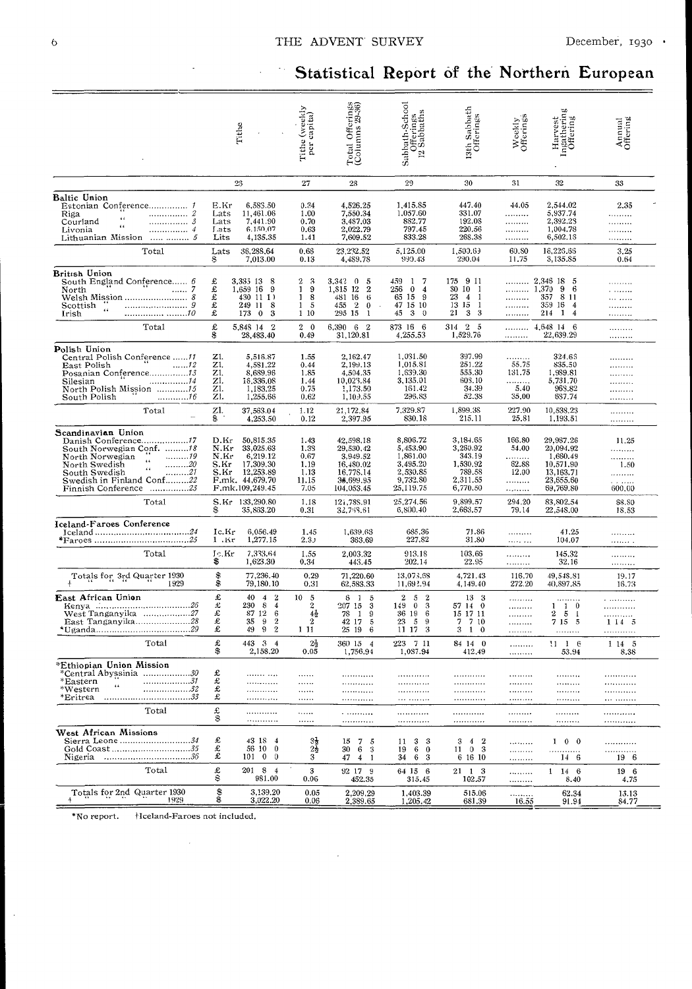# Statistical Report of the Northern European

|                                                                                                                                                                                                                                                                                                                                                                                                                                                                    | Tithe                                                                                | Tithe (weekly<br>per capita)                                                                                                                                 | Total Offerings<br>(Columns 29-36)                                                                             | Sabbath-School<br>Offerings<br>12 Sabbaths                                          | 13th Sabbath<br>Offerings                                                    | Weekly<br>Offerings                              | Harvest<br>Ingathering<br>Offering                                                     | Annual<br>Offering                         |
|--------------------------------------------------------------------------------------------------------------------------------------------------------------------------------------------------------------------------------------------------------------------------------------------------------------------------------------------------------------------------------------------------------------------------------------------------------------------|--------------------------------------------------------------------------------------|--------------------------------------------------------------------------------------------------------------------------------------------------------------|----------------------------------------------------------------------------------------------------------------|-------------------------------------------------------------------------------------|------------------------------------------------------------------------------|--------------------------------------------------|----------------------------------------------------------------------------------------|--------------------------------------------|
|                                                                                                                                                                                                                                                                                                                                                                                                                                                                    | 25                                                                                   | 27                                                                                                                                                           | 28                                                                                                             | 29                                                                                  | 30                                                                           | 31                                               | 32                                                                                     | 33                                         |
| Baltic Union<br>Riga<br>Courland<br>. 3<br>$\epsilon\,\epsilon$<br>Livonia<br>. 4<br>Lithuanian Mission   5                                                                                                                                                                                                                                                                                                                                                        | E.Kr<br>Lats<br>Lats<br>Lats<br>Lits                                                 | 0.34<br>6,583.50<br>1.00<br>11,461.06<br>7,441.90<br>0.70<br>6.150.07<br>0.63<br>4,135.35<br>1.41                                                            | 4,526.25<br>7,550.34<br>3,487.03<br>2,022.79<br>7,609.52                                                       | 1,415.85<br>1.057.60<br>882,77<br>797.45<br>833.28                                  | 447.40<br>331.07<br>192.08<br>220.56<br>268.38                               | 44.05<br>.<br><br><br>.                          | 2,544.02<br>5,937.74<br>2,392.23<br>1,004.78<br>6,502.18                               | 2.35<br>.<br>.<br>.<br>.                   |
| Total                                                                                                                                                                                                                                                                                                                                                                                                                                                              | Lats<br>S                                                                            | 36,288,64<br>0.66<br>7,013.00<br>0.13                                                                                                                        | 23,232.52<br>4,489.78                                                                                          | 5,125.00<br>999.43                                                                  | 1,500.63<br>290.04                                                           | 60.80<br>11.75                                   | 16,226.66<br>3,135.85                                                                  | 3.25<br>0.64                               |
| British Union<br>Scottish "<br>Irish                                                                                                                                                                                                                                                                                                                                                                                                                               | £<br>3,335 13 8<br>£<br>1,659 16 9<br>£<br>£<br>249 11 8<br>£                        | $2 \quad 3$<br>1<br>9<br>430 11 1)<br>1<br>8<br>15<br>173 0 3<br>1 10                                                                                        | 3,342 0 5<br>1,815 12 2<br>481 16 6<br>455 2<br>$\bf{0}$<br>295 15<br>-1                                       | 459 1 7<br>256 0 4<br>65 15 9<br>47 15 10<br>45 3 0                                 | 175 9 11<br>SO 10 1<br>23 4 1<br>13 15 1<br>21 3 3                           | <br>.<br>.                                       | $\ldots$ 2,346 18 5<br>$\ldots$ 1,370 9 6<br>357 8 11<br>359 16 4<br>214<br>$1\quad 4$ | .<br>.<br>.<br>.<br>.                      |
| Total                                                                                                                                                                                                                                                                                                                                                                                                                                                              | £<br>5,848 14 2<br>\$                                                                | $2\quad$<br>28,483.40<br>0.49                                                                                                                                | 6,390 6 2<br>31,120.81                                                                                         | 873 16 6<br>4,255.53                                                                | 314 2 5<br>1,529.76                                                          | .                                                | $\ldots$ 4,648 14 6<br>22,639.29                                                       | <br>                                       |
| <b>P</b> olish Union<br>Central Polish Conference 11<br>South Polish<br>. 16                                                                                                                                                                                                                                                                                                                                                                                       | Z1.<br>ZI.<br>Z1.<br>zı.<br>Z1.<br>ZI.                                               | 5,516.87<br>1.55<br>4,581.22<br>0.44<br>8,689.96<br>1.85<br>16,336.08<br>1.44<br>1,183.25<br>0.75<br>1,255.66<br>0.62                                        | 2,162.47<br>2,199.13<br>4,504.35<br>10,023.84<br>1,173.50<br>1,10.35                                           | 1,031.50<br>1,015.81<br>1,639.30<br>3,135.01<br>161.42<br>296.83                    | 397.99<br>251.22<br>555.30<br>603.10<br>34.39<br>52.38                       | .<br>55.75<br>131.75<br>.<br>5.40<br>35.00       | 324.65<br>835.50<br>1,989.81<br>5,731.70<br>968.82<br>6S7.74                           | <br>.<br><br>.<br><br>                     |
| Total                                                                                                                                                                                                                                                                                                                                                                                                                                                              | Zl.<br>\$                                                                            | 37,563.04<br>1.12<br>4,253.50<br>0.12                                                                                                                        | 21,172.84<br>2,397.95                                                                                          | 7,329.87<br>830.18                                                                  | 1,899.38<br>215.11                                                           | 227.90<br>25,81                                  | 10,538.23<br>1,193.51                                                                  | .<br>                                      |
| Scandinavian Union<br>$\ldots$ $\ldots$ $\ldots$ $\ldots$ $\ldots$ $\ldots$ $\ldots$ $\ldots$ $\ldots$ $\ldots$ $\ldots$ $\ldots$ $\ldots$ $\ldots$ $\ldots$ $\ldots$ $\ldots$ $\ldots$ $\ldots$ $\ldots$ $\ldots$ $\ldots$ $\ldots$ $\ldots$ $\ldots$ $\ldots$ $\ldots$ $\ldots$ $\ldots$ $\ldots$ $\ldots$ $\ldots$ $\ldots$ $\ldots$ $\ldots$ $\ldots$ $\ldots$<br>North Swedish<br>. 21<br>South Swedish<br>Swedish in Finland Conf22<br>Finnish Conference 23 | D.Kr<br>N.Kr<br>N.Kr<br>S.Kr<br>S.Kr 12,253.89<br>F.mk. 44,679.70<br>F.mk.109,249.45 | 50,815.35<br>1.43<br>33,025.63<br>1.33<br>0.67<br>6,219.12<br>17,309.30<br>1.19<br>1.13<br>11.15<br>7.05                                                     | 42,598.18<br>29,530.42<br>3,949.52<br>16,480.02<br>16,778.14<br>35,699.95<br>104,053.45                        | 8,806.72<br>5,453.90<br>1,861.00<br>3,495.20<br>2,530.85<br>9,732.80<br>25,119.75   | 3,184.65<br>3,260.92<br>343.19<br>1,530.92<br>789.58<br>2,311.55<br>6,770.50 | 166.80<br>54.00<br>.<br>62.88<br>12.00<br>.<br>. | 29,987.26<br>20,094.92<br>1,660.49<br>10,571.90<br>13.163.71<br>23,655.60<br>69,769.80 | 11.25<br>.<br><br>1.50<br>.<br>.<br>600.00 |
| Total                                                                                                                                                                                                                                                                                                                                                                                                                                                              | S.Kr 133,290.80                                                                      | 1.18<br>35,863.20<br>0.31                                                                                                                                    | 121,788.91<br>32,758.61                                                                                        | 25,274.56<br>6,800.40                                                               | 9,899.57<br>2,663.57                                                         | 294.20<br>79.14                                  | 83,802.54<br>22,548.00                                                                 | 68.80<br>18.53                             |
| Iceland-Faroes Conference<br>Total                                                                                                                                                                                                                                                                                                                                                                                                                                 | Ic.Kr<br>1 .Kr<br>Jc.Kr                                                              | 6,056.49<br>1.45<br>1,277.15<br>2.3 <sub>J</sub><br>7,333.64<br>1.55                                                                                         | 1,639.63<br>363.69<br>2,003.32                                                                                 | 685.36<br>227.82<br>913.18                                                          | 71.86<br>31.80<br>103.66                                                     | <br>.<br>.                                       | 41.25<br>104.07<br>145.32                                                              | <br>.<br>.                                 |
|                                                                                                                                                                                                                                                                                                                                                                                                                                                                    | \$                                                                                   | 1,623.30<br>0.34                                                                                                                                             | 443.45                                                                                                         | 202.14                                                                              | 22.95                                                                        | .                                                | 32.16                                                                                  | .                                          |
| Totals for 3rd Quarter 1930<br>1929                                                                                                                                                                                                                                                                                                                                                                                                                                | \$<br>\$                                                                             | 77,236.40<br>0.29<br>79,180.10<br>0.31                                                                                                                       | 71,220.60<br>62,583.33                                                                                         | 13,073.68<br>11,692.94                                                              | 4,721.43<br>4,149.40                                                         | 116.70<br>272.20                                 | 49,548.81<br>40,897.85                                                                 | 19.17<br>16.73                             |
| East African Union<br>West Tanganyika 27<br>East Tanganyika28                                                                                                                                                                                                                                                                                                                                                                                                      | £<br>40<br>£<br>230<br>£<br>£<br>35<br>£<br>49                                       | 10<br>$\boldsymbol{2}$<br>-5<br>$\overline{4}$<br>- 8<br>$\overline{4}$<br>2<br>87 12<br>6<br>$4\frac{1}{2}$<br>$\,2\,$<br>9<br>2<br>$\sqrt{2}$<br>9<br>1 11 | 6<br>- 1<br>5<br>207 15<br>3<br>78<br>9<br>$\mathbf{1}$<br>$\overline{5}$<br>42 17<br>$6\phantom{1}6$<br>25 19 | 52<br>$\boldsymbol{2}$<br>3<br>149 0<br>36 19<br>6<br>23<br>- 5<br>9<br>-3<br>11 17 | 13 3<br>57 14 0<br>15 17 11<br>7 7 10<br>3 1 0                               | .<br>.<br>.<br><br>.                             | $1\quad1\quad0$<br>25<br>-1<br>7 15 5<br>.                                             | .<br><br>.<br>1145<br>                     |
| Total                                                                                                                                                                                                                                                                                                                                                                                                                                                              | £<br>\$                                                                              | 443 3 4<br>$2\frac{1}{2}$<br>2,158.20<br>0.05                                                                                                                | 360 15 4<br>1,756.94                                                                                           | 223 7 11<br>1.087.94                                                                | 84 14 0<br>412,49                                                            | .<br>.                                           | $11 \t1 \t6$<br>53.94                                                                  | 1 14 5<br>8.38                             |
| *Ethiopian Union Mission<br>*Central Abyssinia 30<br>*Eastern<br>*Western<br>. 32<br>*Eritrea                                                                                                                                                                                                                                                                                                                                                                      | £<br>£<br>£<br>£                                                                     | <br>.<br>.<br>.<br><br>.                                                                                                                                     | <br>                                                                                                           | <br>.<br>.                                                                          | <br>.<br>                                                                    | .<br>.<br>.                                      | <br>                                                                                   | <br>                                       |
| Total                                                                                                                                                                                                                                                                                                                                                                                                                                                              | £<br>\$                                                                              | <br><br>.<br>                                                                                                                                                | .<br>.                                                                                                         | <br>                                                                                | .<br>                                                                        | .<br>.                                           | <br>                                                                                   | .<br>.                                     |
| West African Missions<br>Sierra Leone 34<br>Gold Coast35<br>Nigeria <i>.36</i>                                                                                                                                                                                                                                                                                                                                                                                     | £<br>£<br>£                                                                          | 43 18 4<br>$\frac{3}{2}$<br>56 10 0<br>$101 \t0 \t0$<br>3                                                                                                    | 15 7 5<br>30<br>6 3<br>47 4 1                                                                                  | 3 <sub>3</sub><br>11<br>$6\quad 0$<br>19<br>34 6 3                                  | 3 4 2<br>$11 \t0 \t3$<br>6 16 10                                             | <br><br>.                                        | $1 \quad 0 \quad 0$<br>14 6                                                            | .<br><br>196                               |
| Total                                                                                                                                                                                                                                                                                                                                                                                                                                                              | £<br>\$                                                                              | 201 8 4<br>3<br>981.00<br>0.06                                                                                                                               | 92 17 9<br>452.35                                                                                              | 64 15 6<br>315.45                                                                   | 21 1 3<br>102.57                                                             | <br>                                             | 14 6<br>$\mathbf{1}$<br>8.40                                                           | 19 6<br>4.75                               |
| Totals for 2nd Quarter 1930<br>1929                                                                                                                                                                                                                                                                                                                                                                                                                                | \$                                                                                   | 3,139.20<br>0.05<br>3,022.20<br>0.06                                                                                                                         | 2,209.29<br>2,389.65                                                                                           | 1,403.39<br>1,205.42                                                                | 515.06<br>681.39                                                             | .<br>16.55                                       | 62.34<br>91.94                                                                         | 13.13<br>84.77                             |
|                                                                                                                                                                                                                                                                                                                                                                                                                                                                    |                                                                                      |                                                                                                                                                              |                                                                                                                |                                                                                     |                                                                              |                                                  |                                                                                        |                                            |

\*No report. +Iceland-Faroes not included.

 $\bar{\beta}$ 

÷.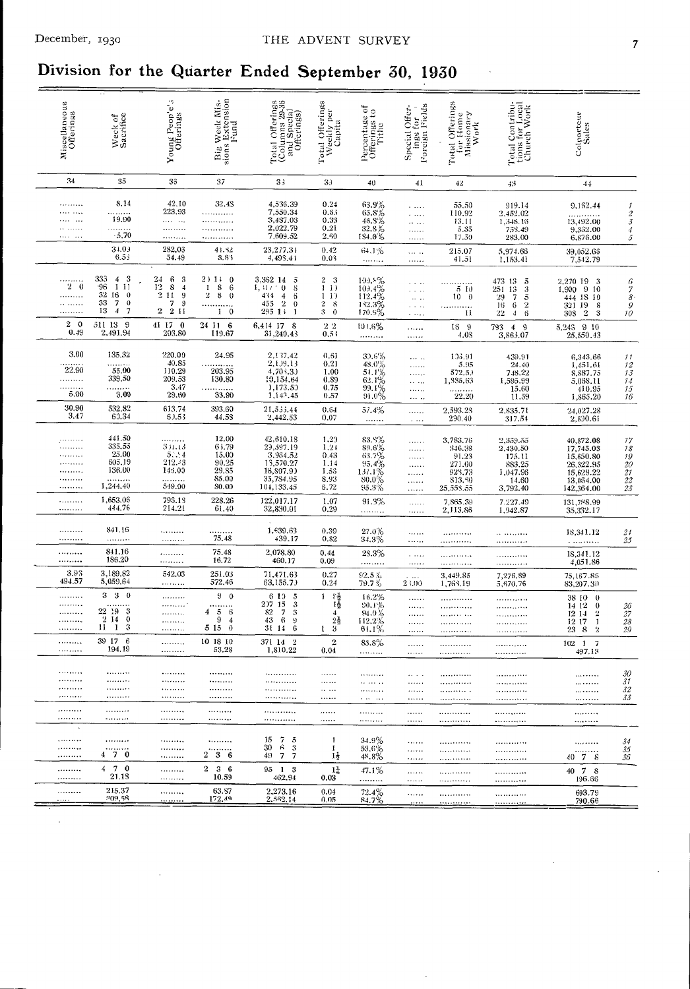# Division for the Quarter Ended September 30, 1930

| Big Week Mis-<br>sions Extension<br>Pund<br>è,<br>Total Offerings<br>(Columns 29-36<br>and Special<br>Offerings)<br>Miscellaneous<br>Offerings<br>Total Offerings<br>Weekly per<br>Capita<br>Total Offerings<br>for Home<br>Missionary<br>Work<br>Total Contribu-<br>tions for Local<br>Church Work<br>ings for<br>Foreign Fields<br>Special Offer-<br>ð<br>Percentage of<br>Offerings to<br>Tithe<br>Colporteur<br>Sales<br>Young Peop'e<br>Offerings<br>Weck of<br>Sacrifice<br>$\mathbf{for}$<br>34<br>35<br>33<br>37<br>33<br>33<br>41<br>40<br>42<br>43<br>44<br>8.14<br>42,10<br>32.48<br>4,536.39<br>0.24<br>$63.9\%$<br>$65.8\%$<br>$46.8\%$<br>$32.8\%$<br>55.50<br>919.14<br>9,162.44<br>1<br>.<br>223.93<br>7,550.34<br>0.63<br>110.92<br>2.452.02<br>$\frac{2}{3}$<br>.<br>.<br>.<br>19.90<br>3,487.03<br>0.33<br>1,348.16<br>13.11<br>$\cdots$<br>$\cdots$<br>13,492.00<br><br><br>2,022.79<br>0.21<br>5.35<br>758.49<br>9,332.00<br>$\boldsymbol{4}$<br><br>.<br>.<br>.<br>$-5.70$<br>7,609.52<br>2.60<br>134.0%<br>وووا وووه<br>17.59<br>283.00<br>6,876.00<br>5<br>.<br><br>.<br>$3 + 03$<br>282,03<br>41.32<br>23,277.31<br>0.42<br>64.1%<br>215.07<br>5,974.66<br>39,052.66<br>.<br>6.53<br>54.49<br>4,493.41<br>8.63<br>0.03<br>41.51<br>1,153.41<br>7,542.79<br>.<br>.<br>333<br>$\boldsymbol{\mathcal{S}}$<br>$\overline{4}$<br>24<br>6<br>-3<br>2) 11 0<br>3,362 14<br>$2 \quad 3$<br>$\begin{array}{l} 100.8\% \\ 101.4\% \\ 112.4\% \\ 182.3\% \\ 170.8\% \end{array}$<br>-5<br>.<br>473 13<br>$\frac{5}{3}$<br>2,270 19 3<br>6<br>.<br>111<br>$2\quad 0$<br>.96<br>$\frac{12}{2}$<br>8<br>$\bf8$<br>1, 31/70<br>$\frac{4}{3}$<br>6<br>$\mathbf{I}$<br>$\mathbf{I}$<br>$\bf{1}$<br>-8<br>$\frac{13}{7}$<br>1,900<br>910<br>$^7_{8}$<br>510<br>251<br>$\cdots$<br>32<br>16<br>$\overline{0}$<br>11<br>$\boldsymbol{9}$<br>$\overline{2}$<br>8<br>434<br>6<br>$\bf{0}$<br>$\bf{1}$<br>4<br>$\mathbf{1}$<br>.<br>$10 \quad 0$<br>29<br>444 18 10<br>$\alpha$ as<br>33<br>7<br>$\mathbf 0$<br>7<br>$\boldsymbol{9}$<br>455<br>$\boldsymbol{2}$<br>$\bf 2$<br>$\bf{0}$<br>-8<br>.<br>16<br>-6<br>$\boldsymbol{2}$<br>321 19<br>$\mathcal G$<br>-8<br>$\cdots$<br>$\overline{2}$<br>13<br>$\overline{4}$<br>7<br>2 11<br>$1 \quad 0$<br>295 1;<br>3<br>$\mathbf{1}$<br>$\theta$<br>.<br>$22\,$<br>$\overline{4}$<br>6<br>$\boldsymbol{2}$<br>10<br>11<br>308<br>-3<br>$\ldots$<br>$2\quad 0$<br>511 13 9<br>41 17 0<br>24 11 6<br>6,414 17 8<br>$2\,2$<br>101.6%<br>18 9<br>793 4 9<br>5,243 9 10<br>.<br>0.49<br>2,491.94<br>203.80<br>119.67<br>31,240.43<br>0.53<br>4.08<br>3,863.07<br>25,550.43<br>.<br>.<br>3.00<br>135.32<br>220.00<br>24.95<br>2,137.42<br>0.61<br>$\begin{array}{l} 39.6\% \\ 48.0\% \\ 54.1\% \\ 62.1\% \\ 99.1\% \\ 91.0\% \end{array}$<br>133.91<br>439.91<br>6,343.66<br>11<br><br>40.85<br>2,199,13<br>0.21<br>5.95<br>24.40<br>1,451.61<br>12<br>.<br>.<br>22.90<br>55.00<br>110.29<br>4,703.33<br>203.95<br>1.00<br>13<br>572.5.<br>748.22<br>8,887.75<br>.<br>339.50<br>209.53<br>130.80<br>10,154.64<br>0.89<br>.<br>1,885.63<br>1,595.99<br>5,068.11<br>14<br><br>3.47<br>1,173.50<br>0.75<br>.<br>15.60<br>410.95<br>$15\,$<br>$\frac{3.00}{3.00}$<br>.<br>.<br>5.00<br>29.60<br>33.90<br>1,143.45<br>0.57<br>22.20<br>11.59<br>16<br>1,865.20<br>$\cdots$<br>30.90<br>532.82<br>613.74<br>393.60<br>21,533.44<br>0.64<br>57.4%<br>2,593.23<br>2,835.71<br>24,027.28<br>.<br>3.47<br>60.34<br>60.53<br>44.58<br>2,442.53<br>0.07<br>290.40<br>317.54<br>2,690.61<br>.<br>$\cdots$<br>441.50<br>12.00<br>42,610.18<br>1.29<br>83.8%<br>3,783.76<br>$2,359.55$<br>$2,430.50$<br>40,872.08<br>17<br><br>.<br><br>335,55<br>65.79<br>29,597.19<br>351.13<br>1.21<br>$\frac{89.6}{63.7\%}$<br>$\frac{18}{19}$<br>$\frac{20}{21}$<br>346,38<br>17,745.03<br>.<br>25.00<br>5.14<br>15.00<br>3,964.52<br>0.43<br>175.11<br>91.23<br>15,650.80<br>605.19<br>212.43<br>90.25<br>15,570.27<br>1.14<br>$\frac{95.4\%}{137.1\%}$<br>80.0%<br>271.00<br>883.25<br>26,322.95<br>.<br><br>136.00<br>145.00<br>29.85<br>16,807.9)<br>1.53<br>928,73<br>1,047.96<br>15,629.22<br><br>.<br>85.00<br>35,784.95<br>104,133.45<br>8.93<br>.<br>.<br>813.50<br>14.60<br>13,054.00<br>22<br>.<br>.<br>1,244.40<br>549.00<br>80.00<br>6.72<br>$95.3\%$<br>25,558.55<br>3,792.40<br>142,364.00<br>23<br>.<br>.<br>1,653.06<br>795.18<br>228.26<br>122,017.17<br>91.3%<br>1.07<br>7,865.39<br>7.227.49<br>.<br>131,788.99<br><br>444.76<br>214.21<br>61.40<br>32,830.01<br>0.29<br><br>2,113.86<br>1,942.87<br>35,332.17<br>.<br>.<br>841.16<br>1,639.63<br>0.39<br>$^{27.0\%}_{34.3\%}$<br><br>21<br>18,341.12<br><br>.<br>.<br>439.17<br>75.48<br>0.82<br>.<br>25<br>.<br>.<br>.<br>.<br><br>841.16<br>75.48<br>2,078.80<br>0.44<br>28.3%<br>.<br>18,341.12<br>.<br>.<br>.<br><br>186.20<br>16.72<br>460.17<br>0.09<br><br>4,051.86<br><br>.<br><br><br>.<br>3.93<br>3,189.82<br>542.03<br>251.03<br>0.27<br>71,471.63<br>$\frac{92.5\%}{79.7\%}$<br>75,167.86<br>3,449.85<br>7,276.89<br>494.57<br>5,059.64<br>63,155.73<br>572.46<br>0.24<br>23.00<br>5,670.76<br>83,207.30<br>.<br>1,763.19<br>3<br>3 <sub>0</sub><br>90<br>6 1 0<br>동물<br>기술<br>5<br>1<br>16.2%<br>.<br>38 10 0<br>.<br>$\begin{array}{c} 3 \\ 3 \\ 9 \\ 6 \end{array}$<br>2)7-15<br>90.1%<br>14 12<br><br>$\bf{0}$<br>$\frac{26}{27}$<br><br>.<br>.<br><br>22 19 3<br>$\overline{7}$<br>82<br>4<br>$\sqrt{5}$<br>-6<br>$\overline{4}$<br>94.9%<br>$\bf{2}$<br>.<br>12 14<br>.<br>.<br>$2 \t14 \t0$<br>- 6<br>$\frac{2\frac{1}{2}}{3}$<br>9<br>43<br>4<br>112.2%<br>12 17<br>$\mathbf{I}$<br>$\sqrt{28}$<br>.<br><br>.<br>.<br><br>$\mathbf{1}$<br>$\boldsymbol{3}$<br>31 14<br>11<br>$\theta$<br>5 15<br>61.1%<br>.<br>1<br>$^{23}$<br>8<br>$\overline{2}$<br>29<br>.<br>.<br>.<br>.<br>39 17 6<br>10 18 10<br>$\overline{2}$<br>$\,2\,$<br>371 14<br>$102 \quad 1 \quad 7$<br><br>83.8%<br><br>.<br>. ,<br>194.19<br>1,810.22<br>53.28<br>0.04<br>.<br>497.13<br>.<br>.<br>.<br>.<br>.<br>30<br>.<br>.<br><br><br>.<br>$\cdots$<br>.<br><br><br>31<br>.<br>.<br>. . <i>.</i> . <i>.</i> .<br><b></b><br><br>.<br><br>32<br><br><br><br>$\cdots$<br><br><br><br><br><br><br>33<br>*********<br><br><br><br>$\epsilon$ , and $\epsilon$ , and $\epsilon$<br><br><br>.<br><br><br><br><br><br><br><br><br><br><b>.</b><br><br><br><br><br><br><br><br>$.$<br><br><br><br>.<br><br>$\sim$<br>15<br>-75<br>.<br>*********<br>34.9%<br>-1<br><br>.<br>34<br><br><br><br><br>30<br>-6 3<br>.<br>53.6%<br>-1<br><br>35<br><br>.<br><br>.<br><br><br>4 7 0<br>$2\quad 3\quad 6$<br>49 7 7<br>14<br>40 7 8<br><br>48.8%<br>36<br><br><br>. <i>.</i><br><br>$4 \t 7 \t 0$<br>$2\quad 3\quad 6$<br>95 1 3<br>$1\frac{1}{4}$<br>47.1%<br>.<br>40 7 8<br>.<br><br>. <b>.</b><br>************<br>21.18<br>10.59<br>462.94<br>0.03<br>.<br>196.66<br><br><br>.<br>. <b>.</b><br>************<br>215.37<br>63.87<br>2,273.16<br>0.04<br>$\frac{72.4\%}{84.7\%}$<br>.<br>693.79<br><br><br><br>. <i>.</i><br>209,58<br>172.49<br>2,562.14<br>0.05<br>1.111<br>790.66<br>.<br><br><u>.</u><br>. <u>.</u> |  |  |  |  |  |  |
|------------------------------------------------------------------------------------------------------------------------------------------------------------------------------------------------------------------------------------------------------------------------------------------------------------------------------------------------------------------------------------------------------------------------------------------------------------------------------------------------------------------------------------------------------------------------------------------------------------------------------------------------------------------------------------------------------------------------------------------------------------------------------------------------------------------------------------------------------------------------------------------------------------------------------------------------------------------------------------------------------------------------------------------------------------------------------------------------------------------------------------------------------------------------------------------------------------------------------------------------------------------------------------------------------------------------------------------------------------------------------------------------------------------------------------------------------------------------------------------------------------------------------------------------------------------------------------------------------------------------------------------------------------------------------------------------------------------------------------------------------------------------------------------------------------------------------------------------------------------------------------------------------------------------------------------------------------------------------------------------------------------------------------------------------------------------------------------------------------------------------------------------------------------------------------------------------------------------------------------------------------------------------------------------------------------------------------------------------------------------------------------------------------------------------------------------------------------------------------------------------------------------------------------------------------------------------------------------------------------------------------------------------------------------------------------------------------------------------------------------------------------------------------------------------------------------------------------------------------------------------------------------------------------------------------------------------------------------------------------------------------------------------------------------------------------------------------------------------------------------------------------------------------------------------------------------------------------------------------------------------------------------------------------------------------------------------------------------------------------------------------------------------------------------------------------------------------------------------------------------------------------------------------------------------------------------------------------------------------------------------------------------------------------------------------------------------------------------------------------------------------------------------------------------------------------------------------------------------------------------------------------------------------------------------------------------------------------------------------------------------------------------------------------------------------------------------------------------------------------------------------------------------------------------------------------------------------------------------------------------------------------------------------------------------------------------------------------------------------------------------------------------------------------------------------------------------------------------------------------------------------------------------------------------------------------------------------------------------------------------------------------------------------------------------------------------------------------------------------------------------------------------------------------------------------------------------------------------------------------------------------------------------------------------------------------------------------------------------------------------------------------------------------------------------------------------------------------------------------------------------------------------------------------------------------------------------------------------------------------------------------------------------------------------------------------------------------------------------------------------------------------------------------------------------------------------------------------------------------------------------------------------------------------------------------------------------------------------------------------------------------------------------------------------------------------------------------------------------------------------------------------------------------------------------------------------------------------------------------------------------------------------------------------------------------------------------------------------------------------------------------------------------------------------------------------------------------------------------------------------------------------------------------------------------------------------------------------------------------------------------------------------------------------------------------------------------------------------------------------------------------------------------------------------------------------------------------------------------------------------------------------------------------------------------------------------------------------------------------------------------------------------------------------------------------------------------------------------------------------------------------------------------------------------------------------------------------------------------------------------------------------------------------------------------------------------------------------------------------------------------------------------------------------------------------------------------------------|--|--|--|--|--|--|
|                                                                                                                                                                                                                                                                                                                                                                                                                                                                                                                                                                                                                                                                                                                                                                                                                                                                                                                                                                                                                                                                                                                                                                                                                                                                                                                                                                                                                                                                                                                                                                                                                                                                                                                                                                                                                                                                                                                                                                                                                                                                                                                                                                                                                                                                                                                                                                                                                                                                                                                                                                                                                                                                                                                                                                                                                                                                                                                                                                                                                                                                                                                                                                                                                                                                                                                                                                                                                                                                                                                                                                                                                                                                                                                                                                                                                                                                                                                                                                                                                                                                                                                                                                                                                                                                                                                                                                                                                                                                                                                                                                                                                                                                                                                                                                                                                                                                                                                                                                                                                                                                                                                                                                                                                                                                                                                                                                                                                                                                                                                                                                                                                                                                                                                                                                                                                                                                                                                                                                                                                                                                                                                                                                                                                                                                                                                                                                                                                                                                                                                                                                                                                                                                                                                                                                                                                                                                                                                                                                                                                                                                                          |  |  |  |  |  |  |
|                                                                                                                                                                                                                                                                                                                                                                                                                                                                                                                                                                                                                                                                                                                                                                                                                                                                                                                                                                                                                                                                                                                                                                                                                                                                                                                                                                                                                                                                                                                                                                                                                                                                                                                                                                                                                                                                                                                                                                                                                                                                                                                                                                                                                                                                                                                                                                                                                                                                                                                                                                                                                                                                                                                                                                                                                                                                                                                                                                                                                                                                                                                                                                                                                                                                                                                                                                                                                                                                                                                                                                                                                                                                                                                                                                                                                                                                                                                                                                                                                                                                                                                                                                                                                                                                                                                                                                                                                                                                                                                                                                                                                                                                                                                                                                                                                                                                                                                                                                                                                                                                                                                                                                                                                                                                                                                                                                                                                                                                                                                                                                                                                                                                                                                                                                                                                                                                                                                                                                                                                                                                                                                                                                                                                                                                                                                                                                                                                                                                                                                                                                                                                                                                                                                                                                                                                                                                                                                                                                                                                                                                                          |  |  |  |  |  |  |
|                                                                                                                                                                                                                                                                                                                                                                                                                                                                                                                                                                                                                                                                                                                                                                                                                                                                                                                                                                                                                                                                                                                                                                                                                                                                                                                                                                                                                                                                                                                                                                                                                                                                                                                                                                                                                                                                                                                                                                                                                                                                                                                                                                                                                                                                                                                                                                                                                                                                                                                                                                                                                                                                                                                                                                                                                                                                                                                                                                                                                                                                                                                                                                                                                                                                                                                                                                                                                                                                                                                                                                                                                                                                                                                                                                                                                                                                                                                                                                                                                                                                                                                                                                                                                                                                                                                                                                                                                                                                                                                                                                                                                                                                                                                                                                                                                                                                                                                                                                                                                                                                                                                                                                                                                                                                                                                                                                                                                                                                                                                                                                                                                                                                                                                                                                                                                                                                                                                                                                                                                                                                                                                                                                                                                                                                                                                                                                                                                                                                                                                                                                                                                                                                                                                                                                                                                                                                                                                                                                                                                                                                                          |  |  |  |  |  |  |
|                                                                                                                                                                                                                                                                                                                                                                                                                                                                                                                                                                                                                                                                                                                                                                                                                                                                                                                                                                                                                                                                                                                                                                                                                                                                                                                                                                                                                                                                                                                                                                                                                                                                                                                                                                                                                                                                                                                                                                                                                                                                                                                                                                                                                                                                                                                                                                                                                                                                                                                                                                                                                                                                                                                                                                                                                                                                                                                                                                                                                                                                                                                                                                                                                                                                                                                                                                                                                                                                                                                                                                                                                                                                                                                                                                                                                                                                                                                                                                                                                                                                                                                                                                                                                                                                                                                                                                                                                                                                                                                                                                                                                                                                                                                                                                                                                                                                                                                                                                                                                                                                                                                                                                                                                                                                                                                                                                                                                                                                                                                                                                                                                                                                                                                                                                                                                                                                                                                                                                                                                                                                                                                                                                                                                                                                                                                                                                                                                                                                                                                                                                                                                                                                                                                                                                                                                                                                                                                                                                                                                                                                                          |  |  |  |  |  |  |
|                                                                                                                                                                                                                                                                                                                                                                                                                                                                                                                                                                                                                                                                                                                                                                                                                                                                                                                                                                                                                                                                                                                                                                                                                                                                                                                                                                                                                                                                                                                                                                                                                                                                                                                                                                                                                                                                                                                                                                                                                                                                                                                                                                                                                                                                                                                                                                                                                                                                                                                                                                                                                                                                                                                                                                                                                                                                                                                                                                                                                                                                                                                                                                                                                                                                                                                                                                                                                                                                                                                                                                                                                                                                                                                                                                                                                                                                                                                                                                                                                                                                                                                                                                                                                                                                                                                                                                                                                                                                                                                                                                                                                                                                                                                                                                                                                                                                                                                                                                                                                                                                                                                                                                                                                                                                                                                                                                                                                                                                                                                                                                                                                                                                                                                                                                                                                                                                                                                                                                                                                                                                                                                                                                                                                                                                                                                                                                                                                                                                                                                                                                                                                                                                                                                                                                                                                                                                                                                                                                                                                                                                                          |  |  |  |  |  |  |
|                                                                                                                                                                                                                                                                                                                                                                                                                                                                                                                                                                                                                                                                                                                                                                                                                                                                                                                                                                                                                                                                                                                                                                                                                                                                                                                                                                                                                                                                                                                                                                                                                                                                                                                                                                                                                                                                                                                                                                                                                                                                                                                                                                                                                                                                                                                                                                                                                                                                                                                                                                                                                                                                                                                                                                                                                                                                                                                                                                                                                                                                                                                                                                                                                                                                                                                                                                                                                                                                                                                                                                                                                                                                                                                                                                                                                                                                                                                                                                                                                                                                                                                                                                                                                                                                                                                                                                                                                                                                                                                                                                                                                                                                                                                                                                                                                                                                                                                                                                                                                                                                                                                                                                                                                                                                                                                                                                                                                                                                                                                                                                                                                                                                                                                                                                                                                                                                                                                                                                                                                                                                                                                                                                                                                                                                                                                                                                                                                                                                                                                                                                                                                                                                                                                                                                                                                                                                                                                                                                                                                                                                                          |  |  |  |  |  |  |
|                                                                                                                                                                                                                                                                                                                                                                                                                                                                                                                                                                                                                                                                                                                                                                                                                                                                                                                                                                                                                                                                                                                                                                                                                                                                                                                                                                                                                                                                                                                                                                                                                                                                                                                                                                                                                                                                                                                                                                                                                                                                                                                                                                                                                                                                                                                                                                                                                                                                                                                                                                                                                                                                                                                                                                                                                                                                                                                                                                                                                                                                                                                                                                                                                                                                                                                                                                                                                                                                                                                                                                                                                                                                                                                                                                                                                                                                                                                                                                                                                                                                                                                                                                                                                                                                                                                                                                                                                                                                                                                                                                                                                                                                                                                                                                                                                                                                                                                                                                                                                                                                                                                                                                                                                                                                                                                                                                                                                                                                                                                                                                                                                                                                                                                                                                                                                                                                                                                                                                                                                                                                                                                                                                                                                                                                                                                                                                                                                                                                                                                                                                                                                                                                                                                                                                                                                                                                                                                                                                                                                                                                                          |  |  |  |  |  |  |
|                                                                                                                                                                                                                                                                                                                                                                                                                                                                                                                                                                                                                                                                                                                                                                                                                                                                                                                                                                                                                                                                                                                                                                                                                                                                                                                                                                                                                                                                                                                                                                                                                                                                                                                                                                                                                                                                                                                                                                                                                                                                                                                                                                                                                                                                                                                                                                                                                                                                                                                                                                                                                                                                                                                                                                                                                                                                                                                                                                                                                                                                                                                                                                                                                                                                                                                                                                                                                                                                                                                                                                                                                                                                                                                                                                                                                                                                                                                                                                                                                                                                                                                                                                                                                                                                                                                                                                                                                                                                                                                                                                                                                                                                                                                                                                                                                                                                                                                                                                                                                                                                                                                                                                                                                                                                                                                                                                                                                                                                                                                                                                                                                                                                                                                                                                                                                                                                                                                                                                                                                                                                                                                                                                                                                                                                                                                                                                                                                                                                                                                                                                                                                                                                                                                                                                                                                                                                                                                                                                                                                                                                                          |  |  |  |  |  |  |
|                                                                                                                                                                                                                                                                                                                                                                                                                                                                                                                                                                                                                                                                                                                                                                                                                                                                                                                                                                                                                                                                                                                                                                                                                                                                                                                                                                                                                                                                                                                                                                                                                                                                                                                                                                                                                                                                                                                                                                                                                                                                                                                                                                                                                                                                                                                                                                                                                                                                                                                                                                                                                                                                                                                                                                                                                                                                                                                                                                                                                                                                                                                                                                                                                                                                                                                                                                                                                                                                                                                                                                                                                                                                                                                                                                                                                                                                                                                                                                                                                                                                                                                                                                                                                                                                                                                                                                                                                                                                                                                                                                                                                                                                                                                                                                                                                                                                                                                                                                                                                                                                                                                                                                                                                                                                                                                                                                                                                                                                                                                                                                                                                                                                                                                                                                                                                                                                                                                                                                                                                                                                                                                                                                                                                                                                                                                                                                                                                                                                                                                                                                                                                                                                                                                                                                                                                                                                                                                                                                                                                                                                                          |  |  |  |  |  |  |
|                                                                                                                                                                                                                                                                                                                                                                                                                                                                                                                                                                                                                                                                                                                                                                                                                                                                                                                                                                                                                                                                                                                                                                                                                                                                                                                                                                                                                                                                                                                                                                                                                                                                                                                                                                                                                                                                                                                                                                                                                                                                                                                                                                                                                                                                                                                                                                                                                                                                                                                                                                                                                                                                                                                                                                                                                                                                                                                                                                                                                                                                                                                                                                                                                                                                                                                                                                                                                                                                                                                                                                                                                                                                                                                                                                                                                                                                                                                                                                                                                                                                                                                                                                                                                                                                                                                                                                                                                                                                                                                                                                                                                                                                                                                                                                                                                                                                                                                                                                                                                                                                                                                                                                                                                                                                                                                                                                                                                                                                                                                                                                                                                                                                                                                                                                                                                                                                                                                                                                                                                                                                                                                                                                                                                                                                                                                                                                                                                                                                                                                                                                                                                                                                                                                                                                                                                                                                                                                                                                                                                                                                                          |  |  |  |  |  |  |
|                                                                                                                                                                                                                                                                                                                                                                                                                                                                                                                                                                                                                                                                                                                                                                                                                                                                                                                                                                                                                                                                                                                                                                                                                                                                                                                                                                                                                                                                                                                                                                                                                                                                                                                                                                                                                                                                                                                                                                                                                                                                                                                                                                                                                                                                                                                                                                                                                                                                                                                                                                                                                                                                                                                                                                                                                                                                                                                                                                                                                                                                                                                                                                                                                                                                                                                                                                                                                                                                                                                                                                                                                                                                                                                                                                                                                                                                                                                                                                                                                                                                                                                                                                                                                                                                                                                                                                                                                                                                                                                                                                                                                                                                                                                                                                                                                                                                                                                                                                                                                                                                                                                                                                                                                                                                                                                                                                                                                                                                                                                                                                                                                                                                                                                                                                                                                                                                                                                                                                                                                                                                                                                                                                                                                                                                                                                                                                                                                                                                                                                                                                                                                                                                                                                                                                                                                                                                                                                                                                                                                                                                                          |  |  |  |  |  |  |
|                                                                                                                                                                                                                                                                                                                                                                                                                                                                                                                                                                                                                                                                                                                                                                                                                                                                                                                                                                                                                                                                                                                                                                                                                                                                                                                                                                                                                                                                                                                                                                                                                                                                                                                                                                                                                                                                                                                                                                                                                                                                                                                                                                                                                                                                                                                                                                                                                                                                                                                                                                                                                                                                                                                                                                                                                                                                                                                                                                                                                                                                                                                                                                                                                                                                                                                                                                                                                                                                                                                                                                                                                                                                                                                                                                                                                                                                                                                                                                                                                                                                                                                                                                                                                                                                                                                                                                                                                                                                                                                                                                                                                                                                                                                                                                                                                                                                                                                                                                                                                                                                                                                                                                                                                                                                                                                                                                                                                                                                                                                                                                                                                                                                                                                                                                                                                                                                                                                                                                                                                                                                                                                                                                                                                                                                                                                                                                                                                                                                                                                                                                                                                                                                                                                                                                                                                                                                                                                                                                                                                                                                                          |  |  |  |  |  |  |
|                                                                                                                                                                                                                                                                                                                                                                                                                                                                                                                                                                                                                                                                                                                                                                                                                                                                                                                                                                                                                                                                                                                                                                                                                                                                                                                                                                                                                                                                                                                                                                                                                                                                                                                                                                                                                                                                                                                                                                                                                                                                                                                                                                                                                                                                                                                                                                                                                                                                                                                                                                                                                                                                                                                                                                                                                                                                                                                                                                                                                                                                                                                                                                                                                                                                                                                                                                                                                                                                                                                                                                                                                                                                                                                                                                                                                                                                                                                                                                                                                                                                                                                                                                                                                                                                                                                                                                                                                                                                                                                                                                                                                                                                                                                                                                                                                                                                                                                                                                                                                                                                                                                                                                                                                                                                                                                                                                                                                                                                                                                                                                                                                                                                                                                                                                                                                                                                                                                                                                                                                                                                                                                                                                                                                                                                                                                                                                                                                                                                                                                                                                                                                                                                                                                                                                                                                                                                                                                                                                                                                                                                                          |  |  |  |  |  |  |
|                                                                                                                                                                                                                                                                                                                                                                                                                                                                                                                                                                                                                                                                                                                                                                                                                                                                                                                                                                                                                                                                                                                                                                                                                                                                                                                                                                                                                                                                                                                                                                                                                                                                                                                                                                                                                                                                                                                                                                                                                                                                                                                                                                                                                                                                                                                                                                                                                                                                                                                                                                                                                                                                                                                                                                                                                                                                                                                                                                                                                                                                                                                                                                                                                                                                                                                                                                                                                                                                                                                                                                                                                                                                                                                                                                                                                                                                                                                                                                                                                                                                                                                                                                                                                                                                                                                                                                                                                                                                                                                                                                                                                                                                                                                                                                                                                                                                                                                                                                                                                                                                                                                                                                                                                                                                                                                                                                                                                                                                                                                                                                                                                                                                                                                                                                                                                                                                                                                                                                                                                                                                                                                                                                                                                                                                                                                                                                                                                                                                                                                                                                                                                                                                                                                                                                                                                                                                                                                                                                                                                                                                                          |  |  |  |  |  |  |
|                                                                                                                                                                                                                                                                                                                                                                                                                                                                                                                                                                                                                                                                                                                                                                                                                                                                                                                                                                                                                                                                                                                                                                                                                                                                                                                                                                                                                                                                                                                                                                                                                                                                                                                                                                                                                                                                                                                                                                                                                                                                                                                                                                                                                                                                                                                                                                                                                                                                                                                                                                                                                                                                                                                                                                                                                                                                                                                                                                                                                                                                                                                                                                                                                                                                                                                                                                                                                                                                                                                                                                                                                                                                                                                                                                                                                                                                                                                                                                                                                                                                                                                                                                                                                                                                                                                                                                                                                                                                                                                                                                                                                                                                                                                                                                                                                                                                                                                                                                                                                                                                                                                                                                                                                                                                                                                                                                                                                                                                                                                                                                                                                                                                                                                                                                                                                                                                                                                                                                                                                                                                                                                                                                                                                                                                                                                                                                                                                                                                                                                                                                                                                                                                                                                                                                                                                                                                                                                                                                                                                                                                                          |  |  |  |  |  |  |
|                                                                                                                                                                                                                                                                                                                                                                                                                                                                                                                                                                                                                                                                                                                                                                                                                                                                                                                                                                                                                                                                                                                                                                                                                                                                                                                                                                                                                                                                                                                                                                                                                                                                                                                                                                                                                                                                                                                                                                                                                                                                                                                                                                                                                                                                                                                                                                                                                                                                                                                                                                                                                                                                                                                                                                                                                                                                                                                                                                                                                                                                                                                                                                                                                                                                                                                                                                                                                                                                                                                                                                                                                                                                                                                                                                                                                                                                                                                                                                                                                                                                                                                                                                                                                                                                                                                                                                                                                                                                                                                                                                                                                                                                                                                                                                                                                                                                                                                                                                                                                                                                                                                                                                                                                                                                                                                                                                                                                                                                                                                                                                                                                                                                                                                                                                                                                                                                                                                                                                                                                                                                                                                                                                                                                                                                                                                                                                                                                                                                                                                                                                                                                                                                                                                                                                                                                                                                                                                                                                                                                                                                                          |  |  |  |  |  |  |
|                                                                                                                                                                                                                                                                                                                                                                                                                                                                                                                                                                                                                                                                                                                                                                                                                                                                                                                                                                                                                                                                                                                                                                                                                                                                                                                                                                                                                                                                                                                                                                                                                                                                                                                                                                                                                                                                                                                                                                                                                                                                                                                                                                                                                                                                                                                                                                                                                                                                                                                                                                                                                                                                                                                                                                                                                                                                                                                                                                                                                                                                                                                                                                                                                                                                                                                                                                                                                                                                                                                                                                                                                                                                                                                                                                                                                                                                                                                                                                                                                                                                                                                                                                                                                                                                                                                                                                                                                                                                                                                                                                                                                                                                                                                                                                                                                                                                                                                                                                                                                                                                                                                                                                                                                                                                                                                                                                                                                                                                                                                                                                                                                                                                                                                                                                                                                                                                                                                                                                                                                                                                                                                                                                                                                                                                                                                                                                                                                                                                                                                                                                                                                                                                                                                                                                                                                                                                                                                                                                                                                                                                                          |  |  |  |  |  |  |
|                                                                                                                                                                                                                                                                                                                                                                                                                                                                                                                                                                                                                                                                                                                                                                                                                                                                                                                                                                                                                                                                                                                                                                                                                                                                                                                                                                                                                                                                                                                                                                                                                                                                                                                                                                                                                                                                                                                                                                                                                                                                                                                                                                                                                                                                                                                                                                                                                                                                                                                                                                                                                                                                                                                                                                                                                                                                                                                                                                                                                                                                                                                                                                                                                                                                                                                                                                                                                                                                                                                                                                                                                                                                                                                                                                                                                                                                                                                                                                                                                                                                                                                                                                                                                                                                                                                                                                                                                                                                                                                                                                                                                                                                                                                                                                                                                                                                                                                                                                                                                                                                                                                                                                                                                                                                                                                                                                                                                                                                                                                                                                                                                                                                                                                                                                                                                                                                                                                                                                                                                                                                                                                                                                                                                                                                                                                                                                                                                                                                                                                                                                                                                                                                                                                                                                                                                                                                                                                                                                                                                                                                                          |  |  |  |  |  |  |
|                                                                                                                                                                                                                                                                                                                                                                                                                                                                                                                                                                                                                                                                                                                                                                                                                                                                                                                                                                                                                                                                                                                                                                                                                                                                                                                                                                                                                                                                                                                                                                                                                                                                                                                                                                                                                                                                                                                                                                                                                                                                                                                                                                                                                                                                                                                                                                                                                                                                                                                                                                                                                                                                                                                                                                                                                                                                                                                                                                                                                                                                                                                                                                                                                                                                                                                                                                                                                                                                                                                                                                                                                                                                                                                                                                                                                                                                                                                                                                                                                                                                                                                                                                                                                                                                                                                                                                                                                                                                                                                                                                                                                                                                                                                                                                                                                                                                                                                                                                                                                                                                                                                                                                                                                                                                                                                                                                                                                                                                                                                                                                                                                                                                                                                                                                                                                                                                                                                                                                                                                                                                                                                                                                                                                                                                                                                                                                                                                                                                                                                                                                                                                                                                                                                                                                                                                                                                                                                                                                                                                                                                                          |  |  |  |  |  |  |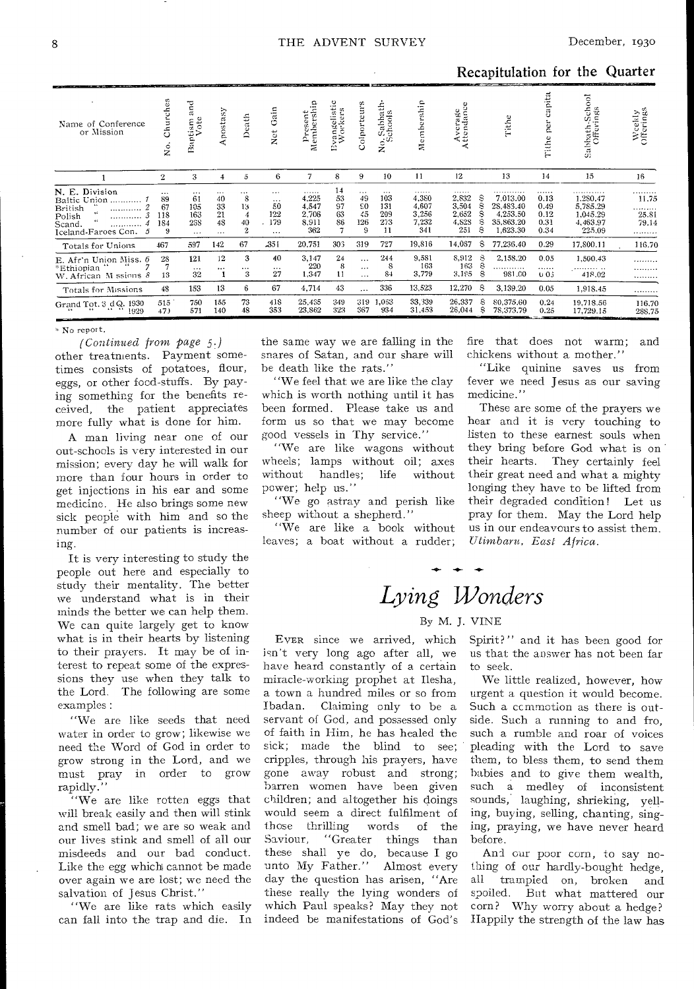Recapitulation for the Quarter

| Name of Conference<br>or Mission                                                                                    | hurches<br>Ō<br>ż                       | इ<br>$\approx$<br>tism<br>Vote<br>ā.<br>$\overline{\mathbb{E}}$ | Apostasy                                     | Death                                              | ain<br>O<br>Net                              | ۹.<br>Membersh<br>Presen                     | vangelistic<br>Workers<br>È | Colporteurs                                 | Sabbath-<br>chools<br>$\frac{1}{2}$        | ship<br>ember<br>Σ                           | Average<br>Attendance                        | Tithe                                                                               | pita<br>$\pi$<br>نۍ<br>per<br>ithe<br>F   | Sabbath-School<br>Offerings                                                     | Weekly<br>Offerings                             |
|---------------------------------------------------------------------------------------------------------------------|-----------------------------------------|-----------------------------------------------------------------|----------------------------------------------|----------------------------------------------------|----------------------------------------------|----------------------------------------------|-----------------------------|---------------------------------------------|--------------------------------------------|----------------------------------------------|----------------------------------------------|-------------------------------------------------------------------------------------|-------------------------------------------|---------------------------------------------------------------------------------|-------------------------------------------------|
|                                                                                                                     | $\boldsymbol{2}$                        | 3                                                               | 4                                            | $\overline{5}$                                     | 6                                            | 7                                            | 8                           | 9                                           | 10                                         | 11                                           | 12                                           | 13                                                                                  | 14                                        | 15                                                                              | 16                                              |
| N. E. Division<br>Baltic Union<br>British<br><br>Polish<br><br>$\epsilon$<br>Scand.<br><br>Iceland-Faroes Con.<br>5 | $\cdots$<br>89<br>67<br>118<br>184<br>9 | $\cdots$<br>61<br>105<br>163<br>258<br>$\cdots$                 | $\cdots$<br>40<br>33<br>21<br>48<br>$\cdots$ | $\cdots$<br>8<br>13<br>4<br>40<br>$\boldsymbol{2}$ | <br>$\cdots$<br>50<br>122<br>179<br>$\cdots$ | .<br>4,225<br>4,547<br>2,706<br>8,911<br>362 | 14<br>53<br>97<br>63<br>86  | <br>49<br>$\varepsilon$ o<br>45<br>126<br>9 | $\cdots$<br>103<br>131<br>209<br>273<br>11 | .<br>4.380<br>4,607<br>3.256<br>7,232<br>341 | .<br>2,832<br>3,504<br>2.652<br>4,828<br>251 | 7.013.00<br>S<br>S<br>28,483.40<br>s<br>4,253.50<br>S<br>35,863.20<br>S<br>1,623.30 | .<br>0.13<br>0.49<br>0.12<br>0.31<br>0.34 | . <i>. .</i> <b>.</b><br>1.280.47<br>5,785.29<br>1.045.29<br>4,463.97<br>225.09 | . <b>.</b><br>11.75<br>.<br>25.81<br>79.14<br>. |
| Totals for Unions                                                                                                   | 467                                     | 597                                                             | 142                                          | 67                                                 | -351                                         | 20,751                                       | 303                         | 319                                         | 727                                        | 19,816                                       | 14,067                                       | s<br>77,236.40                                                                      | 0.29                                      | 17,800.11                                                                       | 116.70                                          |
| E. Afr'n Union Miss. 6<br>*Ethiopian<br>W. African M ssions 8                                                       | 28<br>13                                | 121<br>$\cdots$<br>32                                           | 12<br>$\cdots$                               | 3<br>$\cdots$<br>3                                 | 40<br>$\cdots$<br>27                         | 3,147<br>220<br>1,347                        | 24<br>8<br>11               | $\cdots$<br>$\cdots$<br>$\cdots$            | 244<br>8<br>84                             | 9,581<br>163<br>3.779                        | 8,912<br>163<br>3,195                        | S<br>2,158.20<br>S<br><br>S<br>981.00                                               | 0.05<br>.<br>003                          | 1,500.43<br>418.02                                                              | .<br>.<br>.                                     |
| Totals for Missions                                                                                                 | 48                                      | 153                                                             | 13                                           | 6                                                  | 67                                           | 4,714                                        | 43                          |                                             | 336                                        | 13,523                                       | 12,270                                       | я<br>3,139.20                                                                       | 0.05                                      | 1,918.45                                                                        | .                                               |
| Grand Tot. 3 d Q. 1930<br>1929                                                                                      | 515<br>47)                              | 750<br>571                                                      | 155<br>140                                   | 73<br>48                                           | 418<br>353                                   | 25,435<br>23,862                             | 349<br>323                  | 319<br>367                                  | 1.063<br>934                               | 33,339<br>31,453                             | 26,337<br>26,044                             | 80.375.60<br>S<br>S<br>78,373.79                                                    | 0.24<br>0.25                              | 19.718.56<br>17,729.15                                                          | 116.70<br>288.75                                |

#### \* No report.

 $(Continued from page 5.)$ other treatments. Payment sometimes consists of potatoes, flour, eggs, or other food-stuffs. By paying something for the benefits received, the patient appreciates more fully what is done for him.

A man living near one of our out-schools is very interested in our mission; every day he will walk for more than four hours in order to get injections in his ear and some medicine. He also brings some new sick people with him and so the number of our patients is increasing.

It is very interesting to study the people out here and especially to study their mentality. The better we understand what is in their minds the better we can help them. We can quite largely get to know what is in their hearts by listening to their prayers. It may be of interest to repeat some of the expressions they use when they talk to the Lord. The following are some examples:

"We are like seeds that need water in order to grow; likewise we need the Word of God in order to grow strong in the Lord, and we must pray in order to grow rapidly.

"We are like rotten eggs that will break easily and then will stink and smell bad; we are so weak and our lives stink and smell of all our misdeeds and our bad conduct. Like the egg which cannot be made over again we are lost; we need the salvation of Jesus Christ.'

"We are like rats which easily can fall into the trap and die. In the same way we are falling in the snares of Satan, and our share will be death like the rats."

'We feel that we are like the clay which is worth nothing until it has been formed. Please take us and form us so that we may become good vessels in Thy service.'

"We are like wagons without wheels; lamps without oil; axes without handles; life without power; help us."

"We go astray and perish like sheep without a shepherd."

"We are like a book without leaves; a boat without a rudder;

fire that does not warm; and chickens without a mother.'

"Like quinine saves us from fever we need Jesus as our saving medicine."

These are some of the prayers we hear and it is very touching to listen to these earnest souls when they bring before God what is on their hearts. They certainly feel their great need and what a mighty longing they have to be lifted from their degraded condition! Let us pray for them. May the Lord help us in our endeavours to assist them. Utimbaru, East Africa.

# Lying Wonders

### By M. J. VINE

EVER since we arrived, which isn't very long ago after all, we have heard constantly of a certain miracle-working prophet at Ilesha, a town a hundred miles or so from Claiming only to be a Ibadan. servant of God, and possessed only of faith in Him, he has healed the sick; made the blind to see; cripples, through his prayers, have gone away robust and strong; barren women have been given children; and altogether his doings would seem a direct fulfilment of those thrilling words of the Saviour, "Greater things than these shall ye do, because I go unto My Father." Almost every day the question has arisen, "Are these really the lying wonders of which Paul speaks? May they not indeed be manifestations of God's Spirit?" and it has been good for us that the answer has not been far to seek.

We little realized, however, how urgent a question it would become. Such a commotion as there is outside. Such a running to and fro, such a rumble and roar of voices pleading with the Lord to save them, to bless them, to send them babies and to give them wealth, such a medley of inconsistent sounds, laughing, shrieking, yelling, buying, selling, chanting, singing, praying, we have never heard before.

And our poor corn, to say nothing of our hardly-bought hedge, all trampled on, broken and spoiled. But what mattered our corn? Why worry about a hedge? Happily the strength of the law has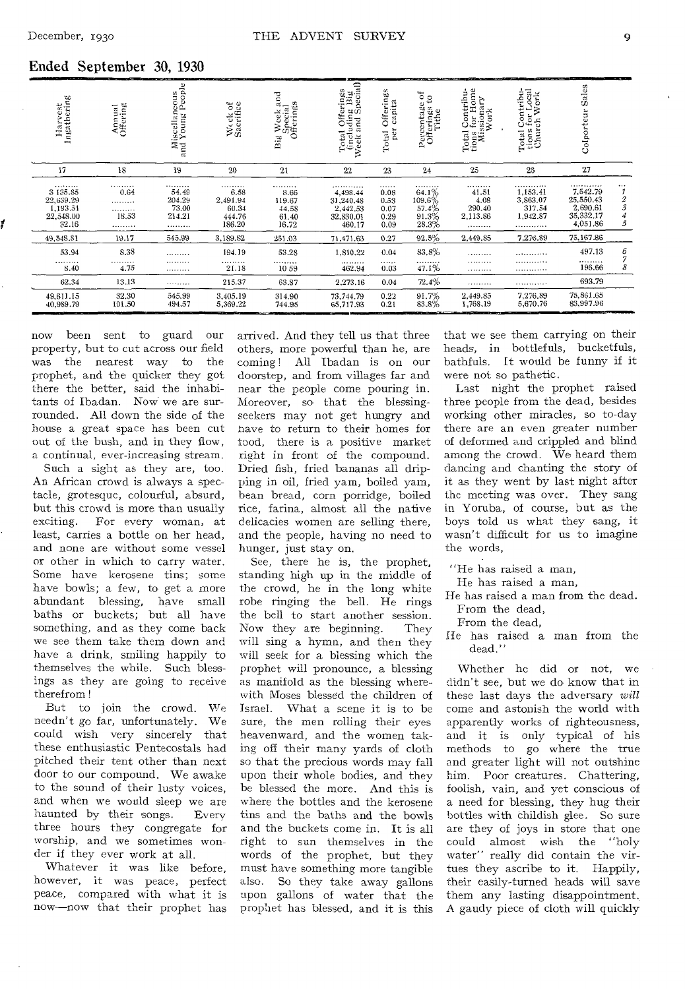### Ended September 30, 1930

| Harvest<br>Ingathering                                      | Annual<br>Offering              | Miscellaneous<br>and Young People          | Week of<br>Sacrifice                               | is Week and<br>Special<br>Offerings<br>Big     | Total Offerings<br>(including Big<br>Week and Special)       | Offerings<br>capita<br>per<br>Total       | Percentage of<br>Offerings to<br>Tithe         | Total Contribu-<br>tions for Home<br>Missionary<br>Work | Total Contribu-<br>tions for Local<br>Church Work   | Sales<br>Colporteur                                                      |                        |
|-------------------------------------------------------------|---------------------------------|--------------------------------------------|----------------------------------------------------|------------------------------------------------|--------------------------------------------------------------|-------------------------------------------|------------------------------------------------|---------------------------------------------------------|-----------------------------------------------------|--------------------------------------------------------------------------|------------------------|
| 17                                                          | 18                              | 19                                         | 20                                                 | 21                                             | 22                                                           | 23                                        | 24                                             | 25                                                      | 26                                                  | 27                                                                       |                        |
| <br>3 135 85<br>22,639.29<br>1,193.51<br>22,548.00<br>32.16 | <br>0.64<br>.<br>.<br>18.53<br> | <br>54.49<br>204.29<br>73.00<br>214.21<br> | .<br>6.58<br>2,491.94<br>60.34<br>444.76<br>186.20 | .<br>8.66<br>119.67<br>44.58<br>61.40<br>16.72 | <br>4,498.44<br>31,240.48<br>2,442.53<br>32,830.01<br>460.17 | .<br>0.08<br>0.53<br>0.07<br>0.29<br>0.09 | <br>64.1%<br>109.6%<br>57.4%<br>91.3%<br>28.3% | <br>41.51<br>4.08<br>290.40<br>2,113.86<br>             | .<br>1,153.41<br>3,863.07<br>317.54<br>1,942.87<br> | . <b>.</b><br>7,542.79<br>25,550.43<br>2,690.61<br>35,332.17<br>4,051.86 | <br>$\frac{2}{3}$<br>5 |
| 49, 548.81                                                  | 19.17                           | 545.99                                     | 3,189.82                                           | 251.03                                         | 71.471.63                                                    | 0.27                                      | 92.5%                                          | 2,449.85                                                | 7,276.89                                            | 75, 167.86                                                               |                        |
| 53.94<br><br>8.40                                           | 8.38<br>.<br>4.75               | <br><br>                                   | 194.19<br>.<br>21.18                               | 53.28<br><br>10 59                             | 1.810.22<br><br>462.94                                       | 0.04<br><br>0.03                          | 83.8%<br><br>47.1%                             | <br><br>                                                | <br><br>. <i>.</i> . <i>.</i>                       | 497.13<br><br>196.66                                                     | 6<br>7<br>8            |
| 62.34                                                       | 13.13                           |                                            | 215.37                                             | 63.87                                          | 2,273.16                                                     | 0.04                                      | 72.4%                                          |                                                         | .                                                   | 693.79                                                                   |                        |
| 49.611.15<br>40,989.79                                      | 32.30<br>101.50                 | 545.99<br>494.57                           | 3,405.19<br>5,369.22                               | 314.90<br>744.95                               | 73,744.79<br>65,717.93                                       | 0.22<br>0.21                              | 91.7%<br>83.8%                                 | 2,449.85<br>1.768.19                                    | 7,276,89<br>5,670.76                                | 75,861.65<br>83,997.96                                                   |                        |

now been sent to guard our property, but to cut across our field was the nearest way to the prophet, and the quicker they got there the better, said the inhabitants of Ibadan. Now we are surrounded. All down the side of the house a great space has been cut out of the bush, and in they flow, **a** continual, ever-increasing stream.

Such a sight as they are, too. An African crowd is always a spectacle, grotesque, colourful, absurd, but this **crowd** is more than usually exciting. For every woman, at least, carries a bottle on her head, and none are without some vessel or other in which to carry **water.**  Some have kerosene **tins; some**  have bowls; **a few, to get a** more abundant **blessing,** have small baths or buckets; but all have something, and as they come back we see them take them down and have a drink, smiling happily to themselves the while. Such blessings as they are going to receive therefrom !

But to join the crowd. We needn't go far, unfortunately. We could wish very sincerely that these enthusiastic Pentecostals had pitched their tent other than next door to our compound. We awake to the sound of their lusty **voices,**  and when we would sleep **we are**  haunted by their songs. **Every**  three hours they congregate for worship, and **we** sometimes wonder if they **ever** work at all.

Whatever it was like before, however, it was peace, perfect peace, compared with what it is now-now that their prophet has arrived. And they tell us that three others, more powerful than he, are coming! All Ibadan is on our doorstep, and from villages far and near the people come pouring in. Moreover, so that the blessing**seekers** may not get hungry and **have** to return to their homes for **food,** there is a positive market right in front of the compound. Dried fish, fried bananas all dripping in oil, fried yam, boiled yam, bean bread, corn porridge, boiled rice, farina, almost **all** the native delicacies women are selling there, and the people, having no need to hunger, just stay on.

See, there he is, the prophet, standing high up in the middle of the crowd, he in the long white robe ringing the bell. He rings the bell to start another session. Now they are beginning. They will sing a hymn, and then they will seek for a blessing which the prophet will pronounce, a blessing as manifold as the blessing wherewith Moses blessed the children of Israel. What a scene it is to be **sure,** the men rolling their eyes heavenward, and the women taking off their many yards of cloth so that the precious words may fall upon their whole bodies, and they be blessed the more. And this is where the bottles and the kerosene tins and the baths and the bowls and the buckets come in. It is all right to sun themselves in the words of the prophet, but they must have something more tangible also. So they take away gallons upon gallons of water that the prophet has blessed, and it is this

that we see them carrying on their heads, in bottlefuls, bucketfuls, bathfuls. It would be funny if it were not so pathetic.

Last night the prophet raised three people from the dead, besides working other miracles, so to-day there are an even greater number of deformed and crippled and blind among the crowd. We heard them dancing and chanting the story of it as they went by last night after the meeting was over. They sang in Yoruba, of course, but as the boys told us what they sang, it wasn't difficult for us to imagine the words,

"He has raised a man,

He has raised a man,

He has raised a man from the dead. From the dead,

From the dead,

He has raised a man from the dead."

Whether he did or not, we didn't see, but we do know that in these last days the adversary *will*  come and astonish the world with apparently works of righteousness, and it is only typical of his methods to go where the true and greater light will not outshine him. Poor creatures. Chattering, foolish, vain, and yet conscious of a need for blessing, they hug their bottles with childish glee. So sure are they of joys in store that one could almost wish the "holy water" really did contain the virtues they ascribe to it. Happily, their easily-turned heads will save them any lasting disappointment. A gaudy piece of cloth **will** quickly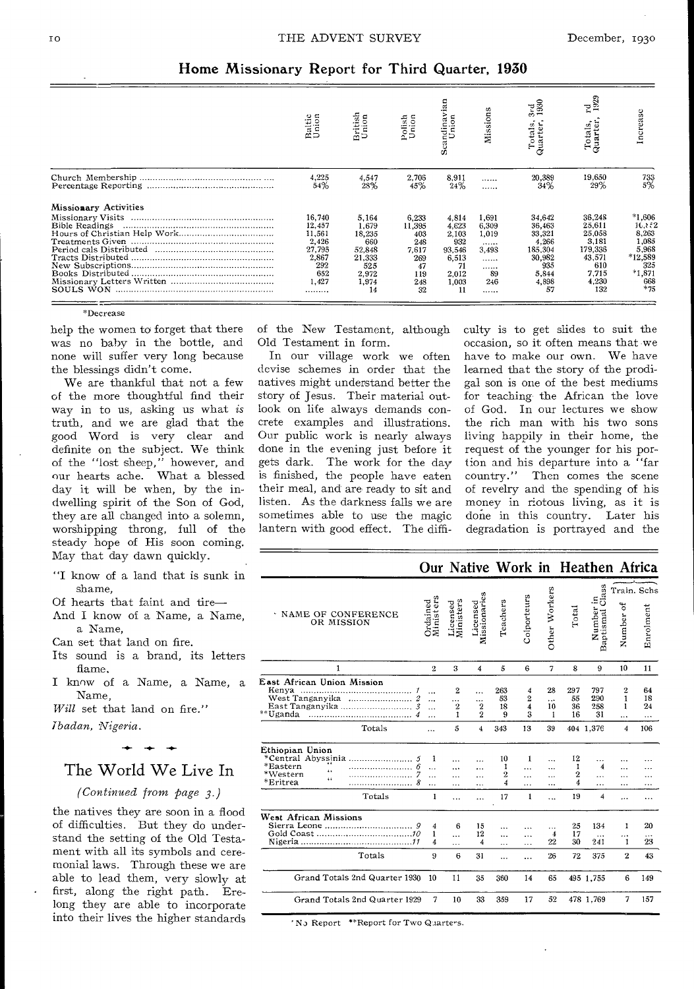### Home Missionary Report for Third Quarter, 1930

|                       | Baltic<br>Union                                                                   | British<br>Union                                                                   | Polish<br>Union                                                         | Scandinavian<br>Union                                                           | Mission                                                         | 3rd<br>1930<br>Total<br>Quarte                                                          | rg<br>1929<br>Totals,<br>Quarter,                                                        | ncrease                                                                                     |
|-----------------------|-----------------------------------------------------------------------------------|------------------------------------------------------------------------------------|-------------------------------------------------------------------------|---------------------------------------------------------------------------------|-----------------------------------------------------------------|-----------------------------------------------------------------------------------------|------------------------------------------------------------------------------------------|---------------------------------------------------------------------------------------------|
|                       | 4,225<br>54%                                                                      | 4,547<br>28%                                                                       | 2,706<br>45%                                                            | 8,911<br>24%                                                                    | <br>                                                            | 20,389<br>34%                                                                           | 19.650<br>29%                                                                            | $^{733}_{5\%}$                                                                              |
| Missionary Activities | 16,740<br>12,457<br>11,561<br>2,426<br>27,795<br>2,867<br>292<br>652<br>1.427<br> | 5,164<br>1.679<br>18,235<br>660<br>52.848<br>21,333<br>525<br>2,972<br>1.974<br>14 | 6,233<br>11,395<br>403<br>248<br>7,617<br>269<br>47<br>119<br>248<br>32 | 4,814<br>4,623<br>2,103<br>932<br>93,546<br>6,513<br>71<br>2,012<br>1,003<br>11 | 1,691<br>6.309<br>1.019<br><br>3.498<br>.<br><br>-89<br>246<br> | 34,642<br>36,463<br>33,321<br>4,266<br>185,304<br>30.982<br>935<br>5.844<br>4.898<br>57 | 36,248<br>25,611<br>25,058<br>3,181<br>179,336<br>43,571<br>610<br>7,715<br>4,230<br>132 | $*1,606$<br>16,852<br>8.263<br>1,085<br>5,968<br>*12,589<br>325<br>$*1,871$<br>668<br>$*75$ |

'Decrease

help the women to forget that there was no baby in the bottle, and none will suffer very long because the blessings didn't come.

We are thankful that not a few of the more thoughtful find their way in to us, asking us what *is*  truth, and we are glad that the good Word is very clear and definite on the subject. We think of the "lost sheep," however, and our hearts ache. What a blessed day it will be when, by the indwelling spirit of the Son of God, they are all changed into a solemn, worshipping throng, full of the steady hope of His soon coming. May that day dawn quickly.

"I know of a land that is sunk in shame,

Of hearts that faint and tire-

And I know of a Name, a Name, a Name,

Can set that land on fire.

Its sound is a brand, its letters flame.

I know of a Name, a Name, a Name,

*Will* set that land on fire."

*ibadan, Nigeria.* 

## The World We Live In **-4- -4- -4.-**

*(Continued from page 3.)* 

able to lead them, very slowly at the natives they are soon in a flood of difficulties. But they do understand the setting of the Old Testament with all its symbols and ceremonial laws. Through these we are first, along the right path. Erelong they are able to incorporate into their lives the higher standards

of the New Testament, although Old Testament in form.

In our village work we often devise schemes in order that the natives might understand better the story of Jesus. Their material outlook on life always demands concrete examples and illustrations. Our public work is nearly always done in the evening just before it gets dark. The work for the day is finished, the people have eaten their meal, and are ready to sit and listen. As the darkness falls we are sometimes able to use the magic lantern with good effect. The difficulty is to get slides to suit the occasion, so it often means that we have to make our own. We have learned that the story of the prodigal son is one of the best mediums for teaching the African the love of God. In our lectures we show the rich man with his two sons living happily in their home, the request of the younger for his portion and his departure into a "far country." Then comes the scene of revelry and the spending of his money in riotous living, as it is done in this country. Later his degradation is portrayed and the

|                                                                                                   |                                                       |                                            |                                         |                                      |                              |                             |                                        | Our Native Work in Heathen Africa       |                                      |                          |
|---------------------------------------------------------------------------------------------------|-------------------------------------------------------|--------------------------------------------|-----------------------------------------|--------------------------------------|------------------------------|-----------------------------|----------------------------------------|-----------------------------------------|--------------------------------------|--------------------------|
| · NAME OF CONFERENCE<br>OR MISSION                                                                | Ministers<br>Ordained                                 | Licensed<br>Ministers                      | Missionaries<br>Licensed                | Teachers                             | Colporteurs                  | Other Workers               | Total                                  | ū<br>Cla<br>Number in<br>Baptismal Cla: | ð<br>Number                          | Train, Schs<br>Enrolment |
| 1                                                                                                 | $\overline{2}$                                        | 3                                          | $\overline{\bf 4}$                      | 5                                    | 6                            | 7                           | 8                                      | 9                                       | 10                                   | 11                       |
| East African Union Mission<br>Kenya<br>West Tanganyika<br>East Tanganyika<br>**Uganda             | $\cdots$<br><br>.<br>.                                | $\mathbf{2}$<br>.<br>$\boldsymbol{2}$<br>1 | .<br><br>$\mathbf{2}$<br>$\overline{2}$ | 263<br>53<br>18<br>9                 | 4<br>2<br>4<br>3             | 28<br><br>10<br>1           | 297<br>55<br>36<br>16                  | 797<br>290<br>258<br>31                 | $\overline{2}$<br>1<br>1<br>$\cdots$ | 64<br>18<br>24<br>       |
| Totals                                                                                            | $\cdots$                                              | 5                                          | $\overline{4}$                          | 343                                  | 13                           | 39                          |                                        | 404 1,376                               | 4                                    | 106                      |
| Ethiopian Union<br>*Central Abvssinia<br>*Eastern<br>i i<br>*Western<br>٤ż.<br>*Eritrea<br>Totals | 1<br>$\ddotsc$<br>$\ddotsc$<br>я<br>.<br>$\mathbf{I}$ | <br>.<br>.<br>.                            | $\cdots$<br>.<br>.                      | 10<br>1<br>$\overline{2}$<br>4<br>17 | 1<br>$\cdots$<br>.<br>.<br>1 | $\ddotsc$<br><br>.<br><br>. | 12<br>1<br>$\boldsymbol{2}$<br>4<br>19 | 4<br>.<br>.<br>4                        | $\ddotsc$<br>.<br>.                  | .                        |
| West African Missions<br>9<br>Gold Coast                                                          | 4<br>1<br>4                                           | 6<br>$\ddotsc$<br>.                        | 15<br>12<br>4                           | .<br>.<br>.                          | $\ddotsc$<br>.               | .<br>$\overline{4}$<br>22   | 25<br>17<br>30                         | 134<br>$\cdots$<br>241                  | 1<br>.<br>1                          | 20<br>$\cdots$<br>23     |
| Totals                                                                                            | 9                                                     | 6                                          | 31                                      | .                                    | .                            | 26                          | 72                                     | 375                                     | $\overline{2}$                       | 43                       |
| Grand Totals 2nd Quarter 1930                                                                     | 10                                                    | 11                                         | 35                                      | 360                                  | 14                           | 65                          |                                        | 495 1.755                               | 6                                    | 149                      |
| Grand Totals 2nd Quarter 1929                                                                     | 7                                                     | 10                                         | 33                                      | 359                                  | 17                           | 52                          |                                        | 478 1.769                               | 7                                    | 157                      |

' No Report \*\*Report for Two Quarters.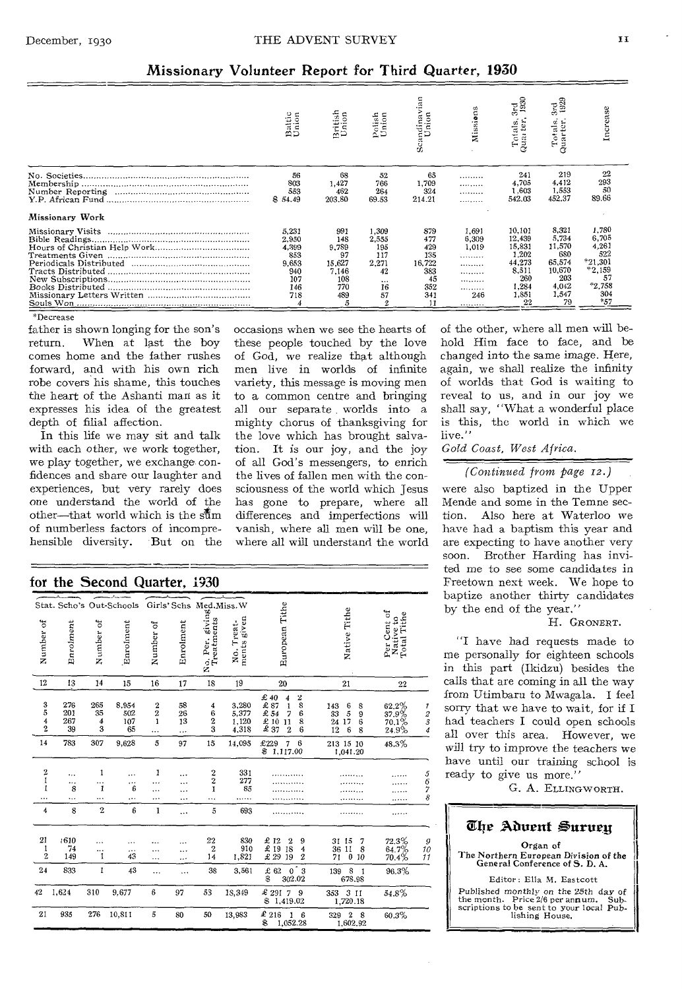### Missionary Volunteer Report for Third Quarter, 1930

|                 | Battic<br>Union                                                     | British<br>Union                                                  | Polis<br>Unio                                                       | vian<br>Scandinav<br>Union                                          | Missions                                                                | 3rd<br>1930<br>Totals,<br>uarter.                                                     | 3rd<br>1929<br>Totals,<br>Quarter,                                                 | ncrease                                                                                      |
|-----------------|---------------------------------------------------------------------|-------------------------------------------------------------------|---------------------------------------------------------------------|---------------------------------------------------------------------|-------------------------------------------------------------------------|---------------------------------------------------------------------------------------|------------------------------------------------------------------------------------|----------------------------------------------------------------------------------------------|
|                 | 56<br>803<br>553<br>\$54.49                                         | 68<br>1,427<br>462<br>203.80                                      | 52<br>766<br>264<br>69.53                                           | 65<br>1.709<br>324<br>214.21                                        | .<br><br>.<br>.                                                         | 241<br>4,705<br>1.603<br>542.03                                                       | 219<br>4,412<br>1.553<br>452.37                                                    | 22<br>293<br>50<br>89.66                                                                     |
| Missionary Work |                                                                     |                                                                   |                                                                     |                                                                     |                                                                         |                                                                                       |                                                                                    |                                                                                              |
|                 | 5,231<br>2,950<br>4,399<br>853<br>9,653<br>940<br>107<br>146<br>718 | 991<br>148<br>9,789<br>97<br>15,627<br>7,146<br>108<br>770<br>489 | 1,309<br>2.555<br>195<br>117<br>2,271<br>42<br>$\cdots$<br>16<br>57 | 879<br>477<br>429<br>135<br>16,722<br>383<br>45<br>352<br>341<br>11 | 1.691<br>6,309<br>1.019<br>.<br><br><br><b>*********</b><br><br>246<br> | 10,101<br>12,439<br>15.831<br>1.202<br>44,273<br>8.511<br>260<br>1,284<br>1,851<br>22 | 8.321<br>5.734<br>11,570<br>680<br>65,574<br>10,670<br>203<br>4,042<br>1,547<br>79 | 1.780<br>6,705<br>4,261<br>522<br>$*21.301$<br>$*2,159$<br>57<br>$*2.758$<br>304<br>$*_{57}$ |

occasions when we see the hearts of these people touched by the love of God, we realize that although men live in worlds of infinite variety, this message is moving men to a common centre and bringing all our separate worlds into a mighty chorus of thanksgiving for the love which has brought salvation. It is our joy, and the joy of all God's messengers, to enrich the lives of fallen men with the consciousness of the world which Jesus has gone to prepare, where all differences and imperfections will vanish, where all men will be one, where all will understand the world

'Decrease

father is shown longing for the son's return. When at last the boy comes home and the father rushes forward, and with his own rich robe covers his shame, this touches the heart of the Ashanti man as it expresses his idea of the greatest depth of filial affection.

In this life we may sit and talk with each other, we work together, we play together, we exchange confidences and share our laughter and experiences, but very rarely does one understand the world of the other-that world which is the  $s\bar{t}$ m of numberless factors of incomprehensible diversity. But on the

### for the Second Quarter, 1930

| - 7.                           |                         |                     | ,,,,,                     | amini,                            |                     |                                                             |                                  |                                                                                                                                                                                                                           |                                                                       |                                         |                                                     |
|--------------------------------|-------------------------|---------------------|---------------------------|-----------------------------------|---------------------|-------------------------------------------------------------|----------------------------------|---------------------------------------------------------------------------------------------------------------------------------------------------------------------------------------------------------------------------|-----------------------------------------------------------------------|-----------------------------------------|-----------------------------------------------------|
|                                |                         |                     | Stat. Scho's Out-Schools  |                                   |                     |                                                             |                                  |                                                                                                                                                                                                                           |                                                                       |                                         |                                                     |
| Number of                      | Enrolment               | Number of           | Enrolment                 | Number of                         | Enrolment           | Girls' Schs Med.Miss. W<br>o. Per. givir<br>Treatments<br>ź | ments given<br>No. Treat-        | <b>European Tithe</b>                                                                                                                                                                                                     | Native Tithe                                                          | Per Cent of<br>Native to<br>Total Tithe |                                                     |
| 12                             | 13                      | 14                  | 15                        | 16                                | 17                  | 18                                                          | 19                               | 20                                                                                                                                                                                                                        | 21                                                                    | 22                                      |                                                     |
| $\frac{3}{5}$<br>$\frac{4}{2}$ | 276<br>201<br>267<br>39 | 265<br>35<br>4<br>3 | 8,954<br>502<br>107<br>65 | $\frac{2}{2}$<br>$\mathbf{1}$<br> | 58<br>26<br>13<br>. | 4<br>6<br>2<br>3                                            | 3,280<br>5,377<br>1,120<br>4,318 | £ 40<br>4<br>$\bf 2$<br>8<br>$\overset{\text{\large\bf £}}{\underset{\text{\large\bf £}}{\text{\large\bf 2}}} \frac{87}{54}$<br>$\mathbf{1}$<br>6<br>7<br>$\frac{2}{3}$ $\frac{10}{37}$<br>11<br>8<br>$\overline{2}$<br>6 | $\frac{6}{5}$<br>143<br>8<br>33<br>9<br>17<br>6<br>24<br>6<br>12<br>8 | 62.2%<br>37.9%<br>70.1%<br>24.9%        | $\frac{7}{2}$ $\frac{2}{3}$ $\frac{3}{4}$           |
| 14                             | 783                     | 307                 | 9,628                     | 5                                 | 97                  | 15                                                          | 14,095                           | £229<br>7<br>$6\phantom{1}6$<br>1,117.00<br>\$                                                                                                                                                                            | 213 15 10<br>1,041.20                                                 | 48.3%                                   |                                                     |
| $\bf{2}$<br>1<br>1<br>$\cdots$ | <br><br>8<br>           | 1<br><br>1<br>      | .<br><br>6<br>            | 1<br><br>.<br>                    | $\cdots$<br>        | $\boldsymbol{2}$<br>$\mathbf 2$<br>Ĭ<br>                    | 331<br>277<br>85<br>.            |                                                                                                                                                                                                                           |                                                                       |                                         | 5<br>67<br>8                                        |
| 4                              | 8                       | $\overline{2}$      | $\boldsymbol{6}$          | 1                                 |                     | $\tilde{\mathbf{5}}$                                        | 693                              |                                                                                                                                                                                                                           |                                                                       | .                                       |                                                     |
| 21<br>1<br>$\mathbf{2}$        | .610<br>74<br>149       | <br>1               | <br>43                    | <br><br>.                         | $\cdots$<br>        | 22<br>$\boldsymbol{2}$<br>14                                | 830<br>910<br>1,821              | £ 12<br>£ 19<br>$\boldsymbol{2}$<br>9<br>18<br>4<br>£ 29<br>19<br>$\mathbf{2}$                                                                                                                                            | 15<br>31<br>7<br>36<br>11<br>8<br>71<br>$\bf{0}$<br>10                | 72.3%<br>64.7%<br>70.4%                 | $\begin{smallmatrix} g\\ 10\\ 11 \end{smallmatrix}$ |
| 24                             | 833                     | $\mathbf 1$         | 43                        |                                   | $\ddotsc$           | 38                                                          | 3,561                            | $0^{\degree}3$<br>$\frac{c}{8}$ 62<br>302.02                                                                                                                                                                              | 8<br>139<br>$\mathbf{I}$<br>678.98                                    | 96.3%                                   |                                                     |
| 42                             | 1,624                   | 310                 | 9,677                     | 6                                 | 97                  | 53                                                          | 18,349                           | \$2917<br>- 9<br>1,419.02<br>\$                                                                                                                                                                                           | 3 11<br>353<br>1,720.18                                               | 54.8%                                   |                                                     |
| 21                             | 935                     | 276                 | 10,811                    | $\tilde{\texttt{5}}$              | 80                  | 50                                                          | 13,983                           | £216<br>6<br>1<br>\$<br>1,052.28                                                                                                                                                                                          | 2<br>8<br>329<br>1,602.92                                             | 60.3%                                   |                                                     |

of the other, where all men will behold Him face to face, and be changed into the same image. Here, again, we shall realize the infinity of worlds that God is waiting to reveal to us, and in our joy we shall say, "What a wonderful place is this, the world in which we live."

*Gold Coast, West Africa.* 

#### *(Continued from page 12.)*

were also baptized in the Upper Mende and some in the Temne section. Also here at Waterloo we have had a baptism this year and are expecting to have another very soon. Brother Harding has invited me to see some candidates in Freetown next week. We hope to baptize another thirty candidates by the end of the year."

#### H. GRONERT.

"I have had requests made to me personally for eighteen schools in this part (Ikidzu) besides the calls that are coming in all the way from Utimbaru to Mwagala. I feel sorry that we have to wait, for if I had teachers I could open schools all over this area. However, we will try to improve the teachers we have until our training school is ready to give us more.'

G. A. ELLINGWORTH.

| The Advent Survey                                                                                  |
|----------------------------------------------------------------------------------------------------|
| Organ of<br>The Northern European Division of the<br>General Conference of S. D. A.                |
| Editor: Ella M. Eastcott<br>Published monthly on the 25th day of                                   |
| the month. Price 2/6 per annum. Sub.<br>scriptions to be sent to your local Pub-<br>lishing House. |